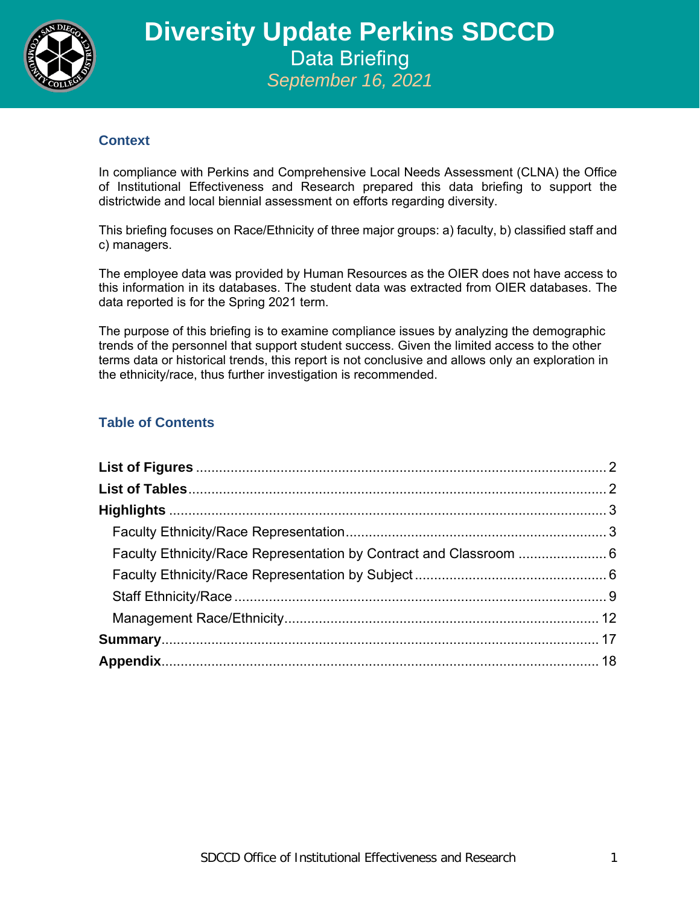

### **Context**

In compliance with Perkins and Comprehensive Local Needs Assessment (CLNA) the Office of Institutional Effectiveness and Research prepared this data briefing to support the districtwide and local biennial assessment on efforts regarding diversity.

This briefing focuses on Race/Ethnicity of three major groups: a) faculty, b) classified staff and c) managers.

The employee data was provided by Human Resources as the OIER does not have access to this information in its databases. The student data was extracted from OIER databases. The data reported is for the Spring 2021 term.

The purpose of this briefing is to examine compliance issues by analyzing the demographic trends of the personnel that support student success. Given the limited access to the other terms data or historical trends, this report is not conclusive and allows only an exploration in the ethnicity/race, thus further investigation is recommended.

## **Table of Contents**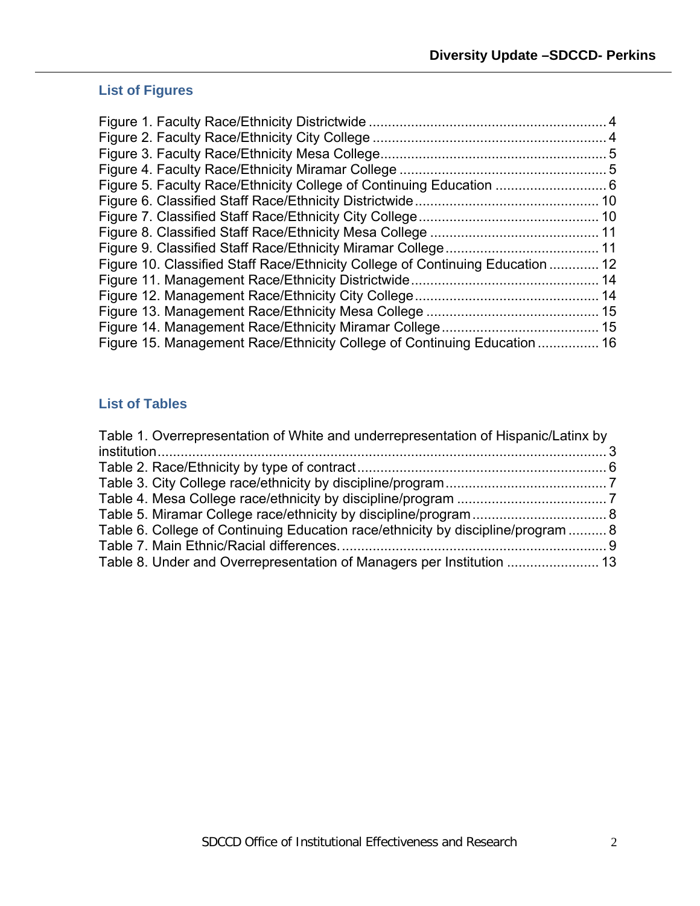# <span id="page-1-0"></span>**List of Figures**

| Figure 10. Classified Staff Race/Ethnicity College of Continuing Education  12 |  |
|--------------------------------------------------------------------------------|--|
|                                                                                |  |
|                                                                                |  |
|                                                                                |  |
|                                                                                |  |
| Figure 15. Management Race/Ethnicity College of Continuing Education  16       |  |
|                                                                                |  |

# <span id="page-1-1"></span>**List of Tables**

| Table 1. Overrepresentation of White and underrepresentation of Hispanic/Latinx by |  |
|------------------------------------------------------------------------------------|--|
|                                                                                    |  |
|                                                                                    |  |
|                                                                                    |  |
|                                                                                    |  |
|                                                                                    |  |
| Table 6. College of Continuing Education race/ethnicity by discipline/program  8   |  |
|                                                                                    |  |
|                                                                                    |  |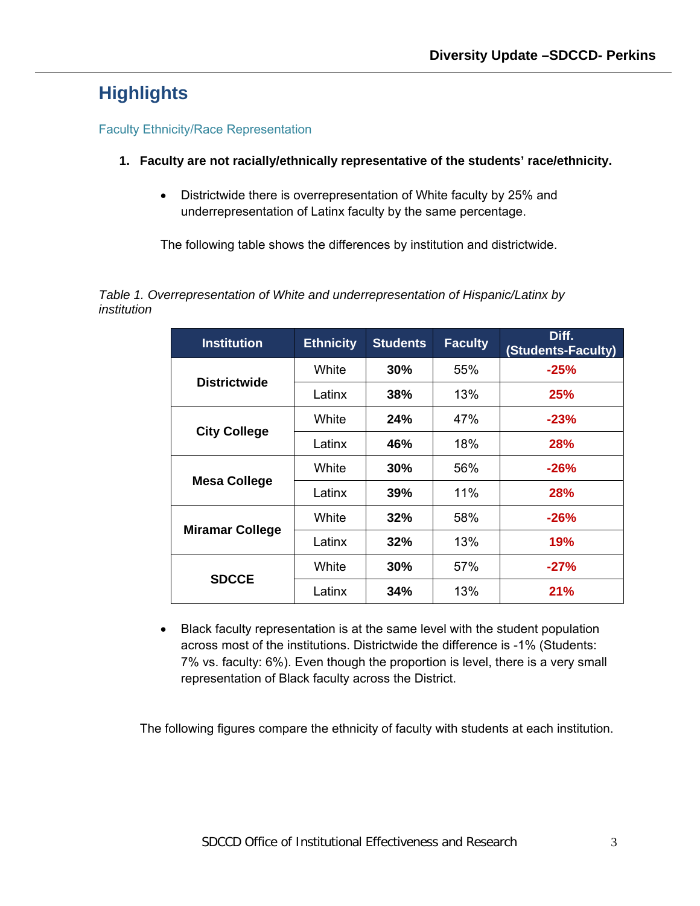# <span id="page-2-0"></span>**Highlights**

### <span id="page-2-1"></span>Faculty Ethnicity/Race Representation

- **1. Faculty are not racially/ethnically representative of the students' race/ethnicity.** 
	- Districtwide there is overrepresentation of White faculty by 25% and underrepresentation of Latinx faculty by the same percentage.

The following table shows the differences by institution and districtwide.

<span id="page-2-2"></span>*Table 1. Overrepresentation of White and underrepresentation of Hispanic/Latinx by institution*

| <b>Institution</b>     | <b>Ethnicity</b> | <b>Students</b> | <b>Faculty</b> | Diff.<br>(Students-Faculty) |
|------------------------|------------------|-----------------|----------------|-----------------------------|
| <b>Districtwide</b>    | White            | 30%             | 55%            | $-25%$                      |
|                        | Latinx           | 38%             | 13%            | <b>25%</b>                  |
|                        | White            | 24%             | 47%            | $-23%$                      |
| <b>City College</b>    | Latinx           | 46%             | 18%            | <b>28%</b>                  |
|                        | White            | 30%             | 56%            | $-26%$                      |
| <b>Mesa College</b>    | Latinx           | 39%             | 11%            | <b>28%</b>                  |
|                        | White            | 32%             | 58%            | $-26%$                      |
| <b>Miramar College</b> | Latinx           | 32%             | 13%            | 19%                         |
|                        | White            | 30%             | 57%            | $-27%$                      |
| <b>SDCCE</b>           | Latinx           | 34%             | 13%            | 21%                         |

• Black faculty representation is at the same level with the student population across most of the institutions. Districtwide the difference is -1% (Students: 7% vs. faculty: 6%). Even though the proportion is level, there is a very small representation of Black faculty across the District.

The following figures compare the ethnicity of faculty with students at each institution.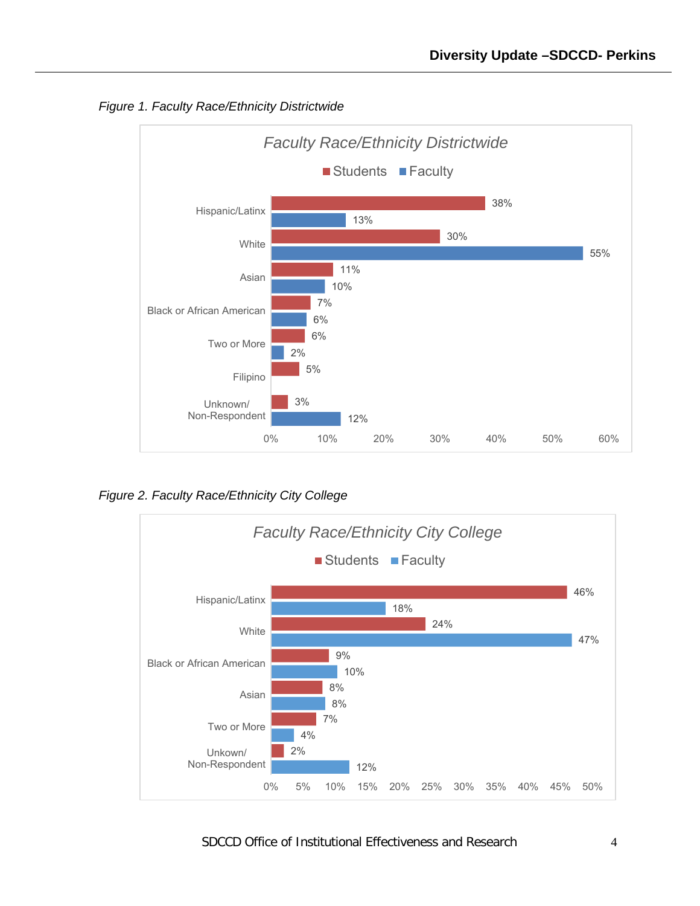

<span id="page-3-0"></span>*Figure 1. Faculty Race/Ethnicity Districtwide*

<span id="page-3-1"></span>*Figure 2. Faculty Race/Ethnicity City College*

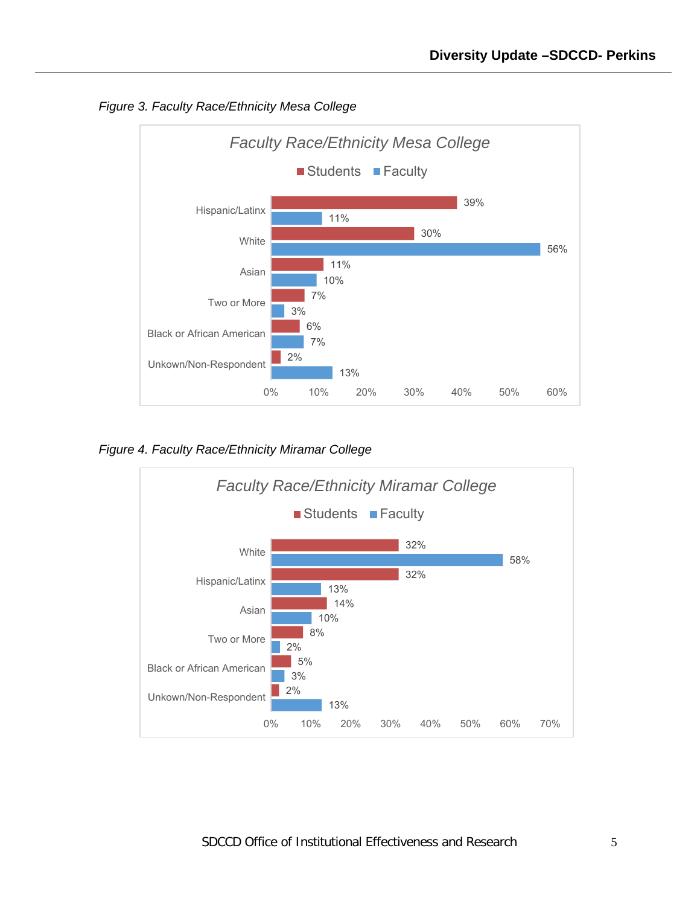

<span id="page-4-0"></span>*Figure 3. Faculty Race/Ethnicity Mesa College*

<span id="page-4-1"></span>*Figure 4. Faculty Race/Ethnicity Miramar College*

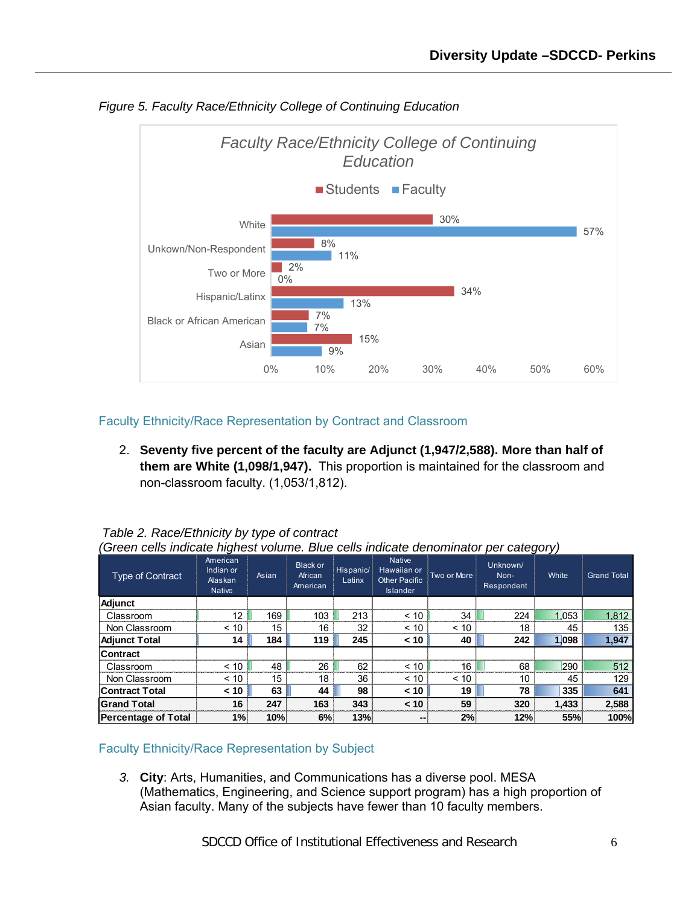

<span id="page-5-2"></span>*Figure 5. Faculty Race/Ethnicity College of Continuing Education*

<span id="page-5-0"></span>Faculty Ethnicity/Race Representation by Contract and Classroom

2. **Seventy five percent of the faculty are Adjunct (1,947/2,588). More than half of them are White (1,098/1,947).** This proportion is maintained for the classroom and non-classroom faculty. (1,053/1,812).

| (Green cells indicate highest volume. Blue cells indicate denominator per category) |                                                   |       |                                        |                     |                                                                         |             |                                |       |                    |
|-------------------------------------------------------------------------------------|---------------------------------------------------|-------|----------------------------------------|---------------------|-------------------------------------------------------------------------|-------------|--------------------------------|-------|--------------------|
| Type of Contract                                                                    | American<br>Indian or<br>Alaskan<br><b>Native</b> | Asian | <b>Black or</b><br>African<br>American | Hispanic/<br>Latinx | <b>Native</b><br>Hawaiian or<br><b>Other Pacific</b><br><b>Islander</b> | Two or More | Unknown/<br>Non-<br>Respondent | White | <b>Grand Total</b> |
| Adjunct                                                                             |                                                   |       |                                        |                     |                                                                         |             |                                |       |                    |
| Classroom                                                                           | 12                                                | 169   | 103                                    | 213                 | < 10                                                                    | 34          | 224                            | 1.053 | 1,812              |
| Non Classroom                                                                       | < 10                                              | 15    | 16                                     | 32                  | < 10                                                                    | < 10        | 18                             | 45    | 135                |
| <b>Adjunct Total</b>                                                                | 14                                                | 184   | 119                                    | 245                 | < 10                                                                    | 40          | 242                            | 1.098 | 1,947              |
| <b>Contract</b>                                                                     |                                                   |       |                                        |                     |                                                                         |             |                                |       |                    |
| Classroom                                                                           | < 10                                              | 48    | 26                                     | 62                  | < 10                                                                    | 16          | 68                             | 290   | 512                |
| Non Classroom                                                                       | < 10                                              | 15    | 18                                     | 36                  | < 10                                                                    | ~10         | 10                             | 45    | 129                |
| <b>Contract Total</b>                                                               | < 10                                              | 63    | 44                                     | 98                  | < 10                                                                    | 19          | 78                             | 335   | 641                |
| <b>Grand Total</b>                                                                  | 16                                                | 247   | 163                                    | 343                 | < 10                                                                    | 59          | 320                            | 1.433 | 2,588              |
| <b>Percentage of Total</b>                                                          | 1%                                                | 10%   | 6%                                     | 13%                 | --                                                                      | 2%          | 12%                            | 55%   | 100%               |

<span id="page-5-3"></span>*Table 2. Race/Ethnicity by type of contract*

#### <span id="page-5-1"></span>Faculty Ethnicity/Race Representation by Subject

*3.* **City**: Arts, Humanities, and Communications has a diverse pool. MESA (Mathematics, Engineering, and Science support program) has a high proportion of Asian faculty. Many of the subjects have fewer than 10 faculty members.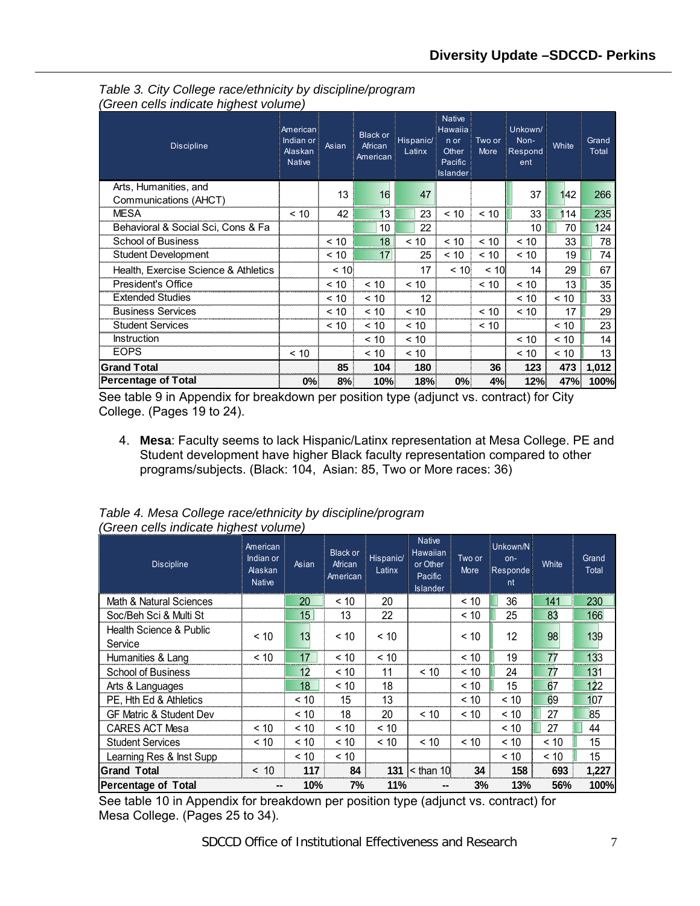| <b>Discipline</b>                    | American<br>Indian or<br><b>Alaskan</b><br><b>Native</b> | Asian   | <b>Black or</b><br>African<br>American | Hispanic/<br>Latinx | <b>Native</b><br>Hawaiia<br>n or<br>Other.<br>Pacific<br><b>Islander</b> | Two or<br>More | Unkown/<br>Non-<br>Respond<br>ent | White | Grand<br>Total |
|--------------------------------------|----------------------------------------------------------|---------|----------------------------------------|---------------------|--------------------------------------------------------------------------|----------------|-----------------------------------|-------|----------------|
| Arts, Humanities, and                |                                                          | 13      | 16                                     | 47                  |                                                                          |                | 37                                | 142   | 266            |
| Communications (AHCT)                |                                                          |         |                                        |                     |                                                                          |                |                                   |       |                |
| <b>MESA</b>                          | ~10                                                      | 42      | 13                                     | 23                  | < 10                                                                     | < 10           | 33                                | 114   | 235            |
| Behavioral & Social Sci, Cons & Fa   |                                                          |         | 10                                     | 22                  |                                                                          |                | 10                                | 70    | 124            |
| <b>School of Business</b>            |                                                          | < 10    | 18                                     | ~10                 | ~10                                                                      | ~10            | < 10                              | 33    | 78             |
| Student Development                  |                                                          | < 10    | 17 <sup>1</sup>                        | 25                  | < 10                                                                     | ~10            | < 10                              | 19    | 74             |
| Health, Exercise Science & Athletics |                                                          | $~<$ 10 |                                        | 17                  | < 10                                                                     | $~<$ 10        | 14                                | 29    | 67             |
| President's Office                   |                                                          | ~10     | < 10                                   | ~10                 |                                                                          | ~10            | ~10                               | 13    | 35             |
| <b>Extended Studies</b>              |                                                          | ~10     | < 10                                   | 12                  |                                                                          |                | ~10                               | < 10  | 33             |
| <b>Business Services</b>             |                                                          | ~10     | ~10                                    | ~10                 |                                                                          | ~10            | ~10                               | 17    | 29             |
| <b>Student Services</b>              |                                                          | < 10    | < 10                                   | < 10                |                                                                          | < 10           |                                   | < 10  | 23             |
| <b>Instruction</b>                   |                                                          |         | < 10                                   | < 10                |                                                                          |                | < 10                              | ~10   | 14             |
| <b>EOPS</b>                          | < 10                                                     |         | < 10                                   | < 10                |                                                                          |                | ~10                               | < 10  | 13             |
| <b>Grand Total</b>                   |                                                          | 85      | 104                                    | 180                 |                                                                          | 36             | 123                               | 473   | 1,012          |
| <b>Percentage of Total</b>           | 0%                                                       | 8%      | 10%                                    | 18%                 | 0%                                                                       | 4%             | 12%                               | 47%   | 100%           |

<span id="page-6-0"></span>*Table 3. City College race/ethnicity by discipline/program (Green cells indicate highest volume)*

See table 9 in Appendix for breakdown per position type (adjunct vs. contract) for City College. (Pages 19 to 24).

4. **Mesa**: Faculty seems to lack Hispanic/Latinx representation at Mesa College. PE and Student development have higher Black faculty representation compared to other programs/subjects. (Black: 104, Asian: 85, Two or More races: 36)

| <b>Discipline</b>                             | American<br>Indian or<br><b>Alaskan</b><br><b>Native</b> | Asian | <b>Black or</b><br>African<br>American | Hispanic/<br>Latinx | <b>Native</b><br>Hawaiian<br>or Other<br>Pacific<br><b>Islander</b> | Two or<br>More | Unkown/N<br>on-<br>Responde<br>nt | White | Grand<br>Total |
|-----------------------------------------------|----------------------------------------------------------|-------|----------------------------------------|---------------------|---------------------------------------------------------------------|----------------|-----------------------------------|-------|----------------|
| Math & Natural Sciences                       |                                                          | 20    | < 10                                   | 20                  |                                                                     | < 10           | 36                                | 141   | 230            |
| Soc/Beh Sci & Multi St                        |                                                          | 15    | 13                                     | 22                  |                                                                     | < 10           | 25                                | 83    | 166            |
| <b>Health Science &amp; Public</b><br>Service | < 10                                                     | 13    | < 10                                   | < 10                |                                                                     | < 10           | 12                                | 98    | 139            |
| Humanities & Lang                             | < 10                                                     | 17    | < 10                                   | < 10                |                                                                     | < 10           | 19                                | 77    | 133            |
| <b>School of Business</b>                     |                                                          | 12    | < 10                                   | 11                  | < 10                                                                | < 10           | 24                                | 77    | 131            |
| Arts & Languages                              |                                                          | 18    | < 10                                   | 18                  |                                                                     | < 10           | 15                                | 67    | 122            |
| PE, Hth Ed & Athletics                        |                                                          | < 10  | 15                                     | 13                  |                                                                     | < 10           | < 10                              | 69    | 107            |
| <b>GF Matric &amp; Student Dev</b>            |                                                          | < 10  | 18                                     | 20                  | < 10                                                                | < 10           | < 10                              | 27    | 85             |
| <b>CARES ACT Mesa</b>                         | < 10                                                     | < 10  | < 10                                   | < 10                |                                                                     |                | < 10                              | 27    | 44             |
| <b>Student Services</b>                       | < 10                                                     | ~10   | < 10                                   | < 10                | < 10                                                                | < 10           | < 10                              | < 10  | 15             |
| Learning Res & Inst Supp                      |                                                          | < 10  | < 10                                   |                     |                                                                     |                | < 10                              | < 10  | 15             |
| <b>Grand Total</b>                            | < 10                                                     | 117   | 84                                     | 131                 | $<$ than 10                                                         | 34             | 158                               | 693   | 1,227          |
| <b>Percentage of Total</b>                    | --                                                       | 10%   | 7%                                     | 11%                 | --                                                                  | 3%             | 13%                               | 56%   | 100%           |

<span id="page-6-1"></span>*Table 4. Mesa College race/ethnicity by discipline/program (Green cells indicate highest volume)*

See table 10 in Appendix for breakdown per position type (adjunct vs. contract) for Mesa College. (Pages 25 to 34).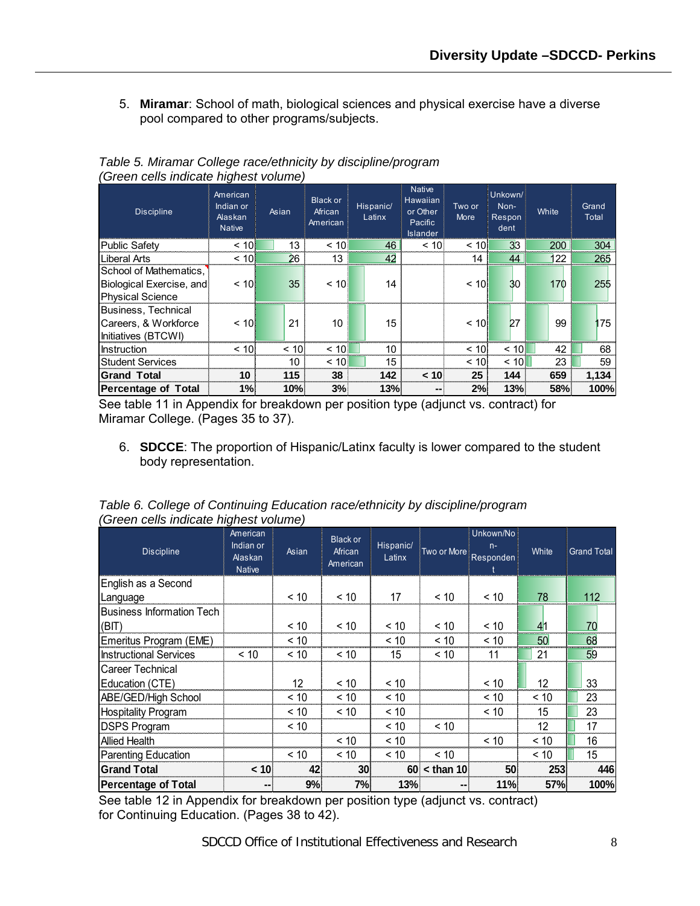5. **Miramar**: School of math, biological sciences and physical exercise have a diverse pool compared to other programs/subjects.

| <b>Discipline</b>                                                             | …שיי<br>American<br>Indian or<br>Alaskan<br><b>Native</b> | Asian   | <b>Black or</b><br>African<br>American | Hispanic/<br>Latinx | <b>Native</b><br>Hawaiian<br>or Other<br>Pacific<br><b>Islander</b> | Two or<br>More   | Unkown/<br>Non-<br>Respon<br>dent | White | Grand<br>Total |
|-------------------------------------------------------------------------------|-----------------------------------------------------------|---------|----------------------------------------|---------------------|---------------------------------------------------------------------|------------------|-----------------------------------|-------|----------------|
| <b>Public Safety</b>                                                          | ~10                                                       | 13      | < 10                                   | 46                  | < 10                                                                | ~10 <sub>1</sub> | 3 <sub>3</sub>                    | 200   | 304            |
| Liberal Arts                                                                  | ~10                                                       | 26      | 13                                     | 42                  |                                                                     | 14               | 44                                | 122   | 265            |
| School of Mathematics.<br>Biological Exercise, and<br><b>Physical Science</b> | $\leq 10$                                                 | 35      | < 10                                   | 14                  |                                                                     | ~10              | 30                                | 170   | 255            |
| Business, Technical<br>Careers, & Workforce<br>Initiatives (BTCWI)            | $\leq 10$                                                 | 21      | 10                                     | 15                  |                                                                     | ~10              | 27                                | 99    | 175            |
| <b>Instruction</b>                                                            | $~<$ 10                                                   | $~<$ 10 | < 10                                   | 10                  |                                                                     | < 10             | < 10                              | 42    | 68             |
| <b>Student Services</b>                                                       |                                                           | 10      | < 10                                   | 15                  |                                                                     | < 10             | < 10                              | 23    | 59             |
| <b>Grand Total</b>                                                            | 10                                                        | 115     | 38                                     | 142                 | < 10                                                                | 25               | 144                               | 659   | 1,134          |
| <b>Percentage of Total</b>                                                    | 1%                                                        | 10%     | 3%                                     | 13%                 |                                                                     | 2%               | 13%                               | 58%   | 100%           |

<span id="page-7-0"></span>*Table 5. Miramar College race/ethnicity by discipline/program (Green cells indicate highest volume)* 

See table 11 in Appendix for breakdown per position type (adjunct vs. contract) for Miramar College. (Pages 35 to 37).

6. **SDCCE**: The proportion of Hispanic/Latinx faculty is lower compared to the student body representation.

| <b>Discipline</b>                | American<br>Indian or<br>Alaskan<br><b>Native</b> | Asian | <b>Black or</b><br>African<br>American | Hispanic/<br>Latinx | Two or More | Unkown/No<br>$n -$<br>Responden | White | <b>Grand Total</b> |
|----------------------------------|---------------------------------------------------|-------|----------------------------------------|---------------------|-------------|---------------------------------|-------|--------------------|
| English as a Second              |                                                   |       |                                        |                     |             |                                 |       |                    |
| Language                         |                                                   | < 10  | < 10                                   | 17                  | < 10        | < 10                            | 78    | 112                |
| <b>Business Information Tech</b> |                                                   |       |                                        |                     |             |                                 |       |                    |
| (BIT)                            |                                                   | ~< 10 | < 10                                   | < 10                | < 10        | < 10                            | 41    | 70                 |
| Emeritus Program (EME)           |                                                   | < 10  |                                        | < 10                | < 10        | < 10                            | 50    | 68                 |
| <b>Instructional Services</b>    | < 10                                              | < 10  | < 10                                   | 15                  | < 10        | 11                              | 21    | 59                 |
| Career Technical                 |                                                   |       |                                        |                     |             |                                 |       |                    |
| Education (CTE)                  |                                                   | 12    | < 10                                   | < 10                |             | ~10                             | 12    | 33                 |
| ABE/GED/High School              |                                                   | < 10  | < 10                                   | < 10                |             | < 10                            | < 10  | 23                 |
| <b>Hospitality Program</b>       |                                                   | < 10  | < 10                                   | < 10                |             | < 10                            | 15    | 23                 |
| <b>DSPS Program</b>              |                                                   | < 10  |                                        | < 10                | < 10        |                                 | 12    | 17                 |
| <b>Allied Health</b>             |                                                   |       | < 10                                   | < 10                |             | < 10                            | < 10  | 16                 |
| <b>Parenting Education</b>       |                                                   | < 10  | < 10                                   | < 10                | < 10        |                                 | < 10  | 15                 |
| <b>Grand Total</b>               | < 10                                              | 42    | 30                                     | 60                  | $<$ than 10 | 50                              | 253   | 446                |
| <b>Percentage of Total</b>       | --                                                | 9%    | 7%                                     | 13%                 | --          | 11%                             | 57%   | 100%               |

<span id="page-7-1"></span>*Table 6. College of Continuing Education race/ethnicity by discipline/program (Green cells indicate highest volume)*

See table 12 in Appendix for breakdown per position type (adjunct vs. contract) for Continuing Education. (Pages 38 to 42).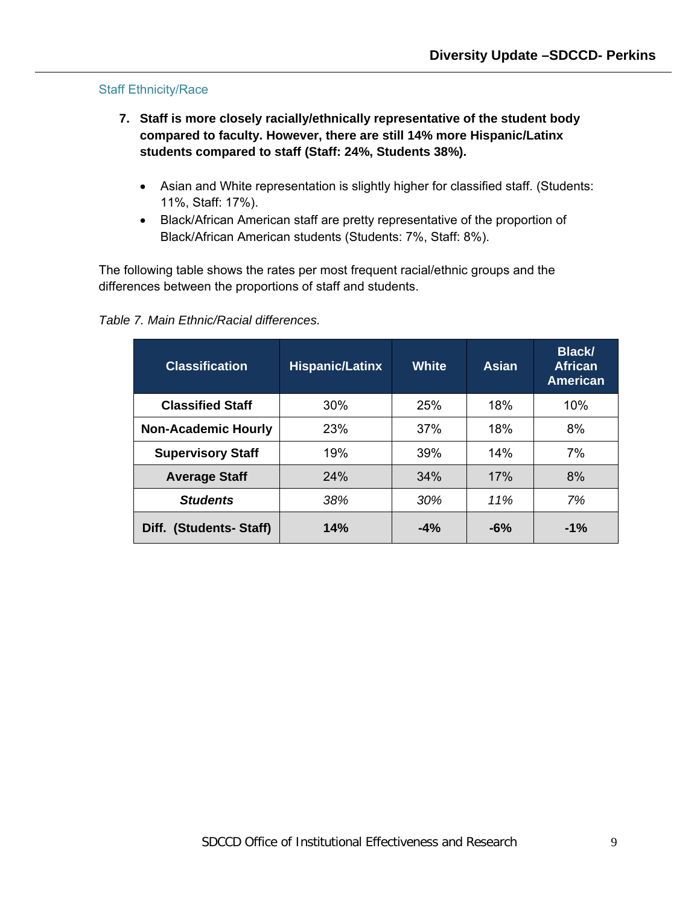#### <span id="page-8-0"></span>Staff Ethnicity/Race

- **7. Staff is more closely racially/ethnically representative of the student body compared to faculty. However, there are still 14% more Hispanic/Latinx students compared to staff (Staff: 24%, Students 38%).**
	- Asian and White representation is slightly higher for classified staff. (Students: 11%, Staff: 17%).
	- Black/African American staff are pretty representative of the proportion of Black/African American students (Students: 7%, Staff: 8%).

The following table shows the rates per most frequent racial/ethnic groups and the differences between the proportions of staff and students.

**Classification Hispanic/Latinx White Asian Black/ African American Classified Staff**  $\begin{array}{|c|c|c|c|c|} \hline \end{array}$  30% | 25% | 18% | 10% **Non-Academic Hourly** 23% 1 37% 18% 8% **Supervisory Staff** | 19% | 39% | 14% | 7% **Average Staff**  $\begin{array}{|c|c|c|c|c|} \hline \end{array}$  24% | 34% | 17% | 8% *Students 38% 30% 11% 7%* **Diff. (Students- Staff) 14% -4% -6% -1%**

#### <span id="page-8-1"></span>*Table 7. Main Ethnic/Racial differences.*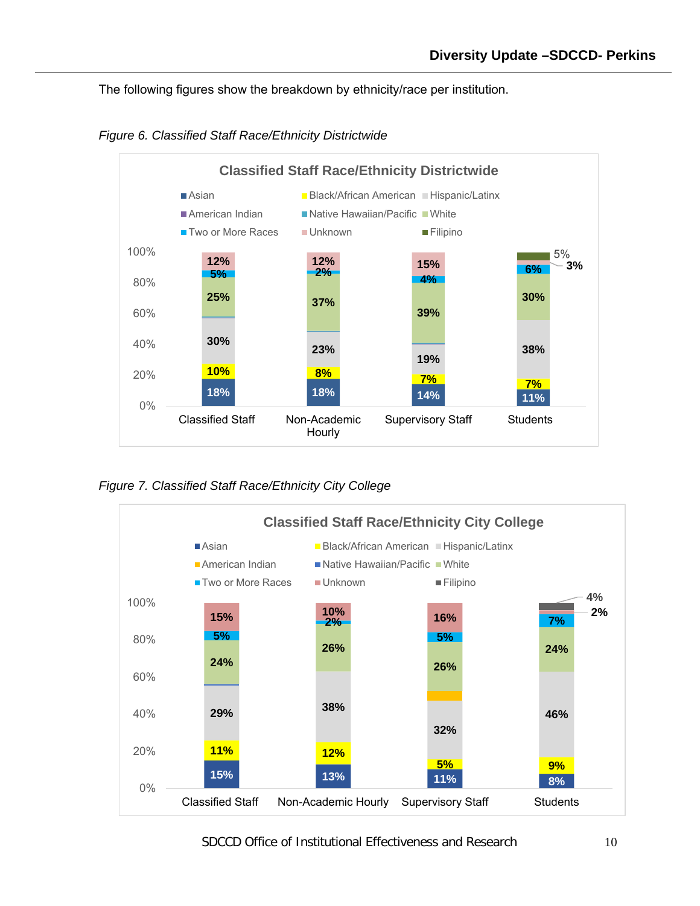The following figures show the breakdown by ethnicity/race per institution.



<span id="page-9-0"></span>*Figure 6. Classified Staff Race/Ethnicity Districtwide*

<span id="page-9-1"></span>*Figure 7. Classified Staff Race/Ethnicity City College*

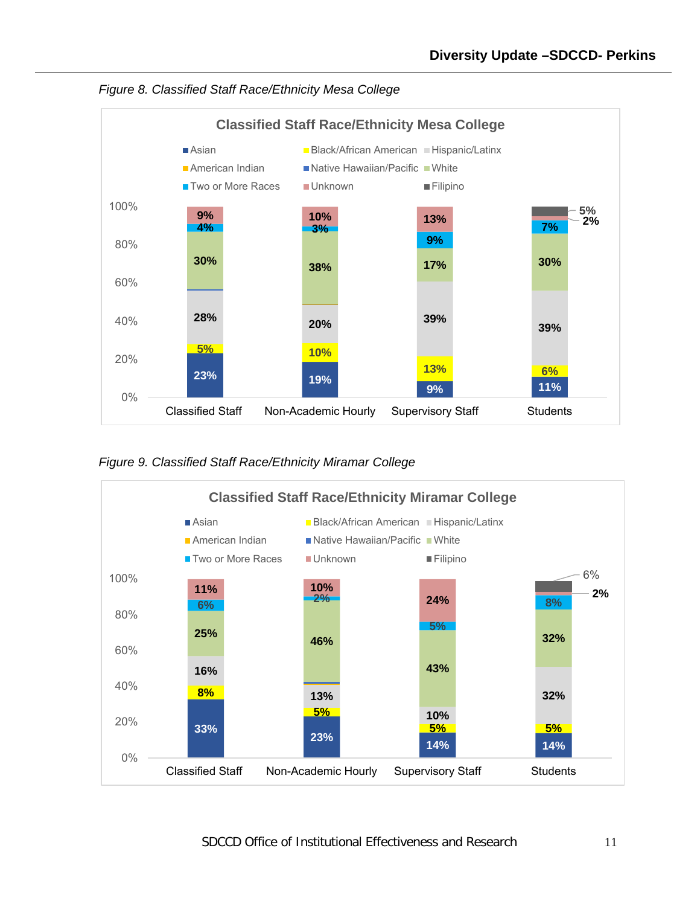

<span id="page-10-0"></span>*Figure 8. Classified Staff Race/Ethnicity Mesa College*

<span id="page-10-1"></span>

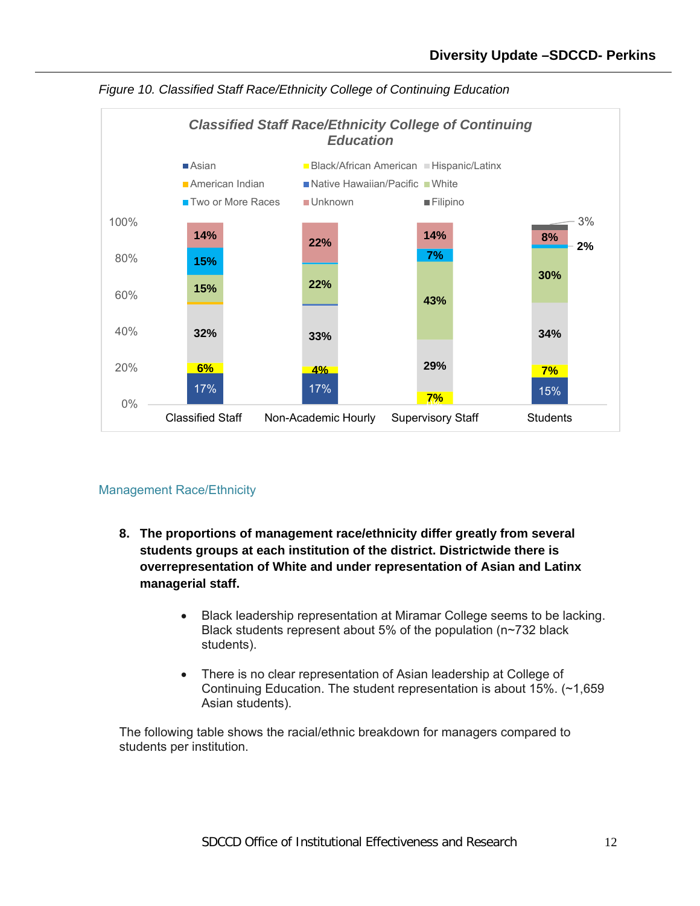

<span id="page-11-1"></span>

### <span id="page-11-0"></span>Management Race/Ethnicity

- **8. The proportions of management race/ethnicity differ greatly from several students groups at each institution of the district. Districtwide there is overrepresentation of White and under representation of Asian and Latinx managerial staff.**
	- Black leadership representation at Miramar College seems to be lacking. Black students represent about 5% of the population (n~732 black students).
	- There is no clear representation of Asian leadership at College of Continuing Education. The student representation is about 15%. (~1,659 Asian students).

The following table shows the racial/ethnic breakdown for managers compared to students per institution.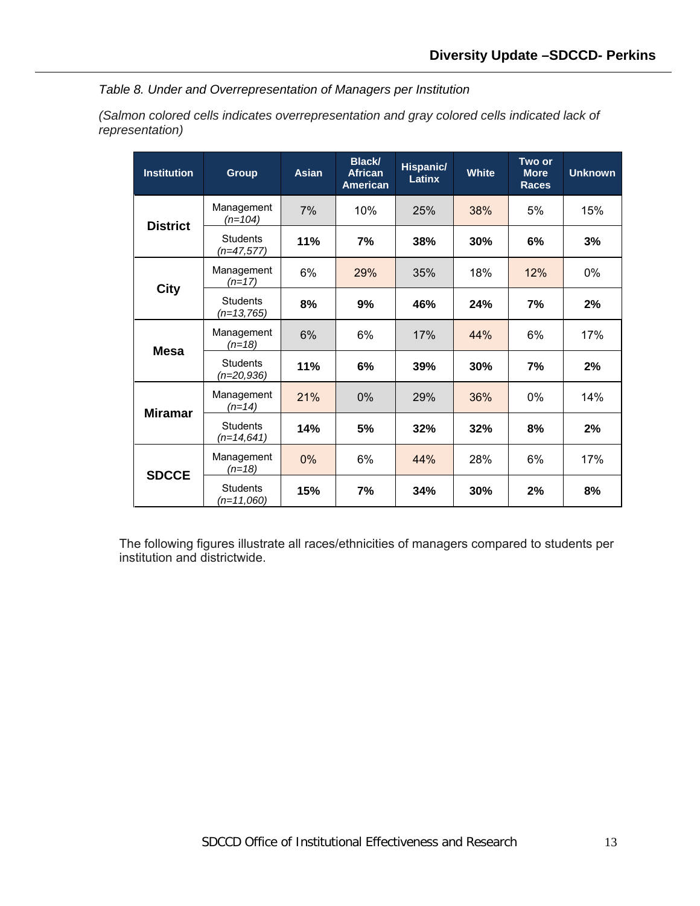<span id="page-12-0"></span>*Table 8. Under and Overrepresentation of Managers per Institution*

*(Salmon colored cells indicates overrepresentation and gray colored cells indicated lack of representation)* 

| <b>Institution</b> | <b>Group</b>                    | <b>Asian</b> | <b>Black/</b><br><b>African</b><br><b>American</b> | Hispanic/<br><b>Latinx</b> | <b>White</b> | Two or<br><b>More</b><br><b>Races</b> | <b>Unknown</b> |
|--------------------|---------------------------------|--------------|----------------------------------------------------|----------------------------|--------------|---------------------------------------|----------------|
| <b>District</b>    | Management<br>$(n=104)$         | 7%           | 10%                                                | 25%                        | 38%          | 5%                                    | 15%            |
|                    | <b>Students</b><br>(n=47,577)   | 11%          | 7%                                                 | 38%                        | 30%          | 6%                                    | 3%             |
|                    | Management<br>$(n=17)$          | 6%           | 29%                                                | 35%                        | 18%          | 12%                                   | 0%             |
| City               | <b>Students</b><br>$(n=13,765)$ | 8%           | 9%                                                 | 46%                        | 24%          | 7%                                    | 2%             |
| <b>Mesa</b>        | Management<br>$(n=18)$          | 6%           | 6%                                                 | 17%                        | 44%          | 6%                                    | 17%            |
|                    | <b>Students</b><br>$(n=20,936)$ | 11%          | 6%                                                 | 39%                        | 30%          | 7%                                    | 2%             |
| <b>Miramar</b>     | Management<br>$(n=14)$          | 21%          | 0%                                                 | 29%                        | 36%          | 0%                                    | 14%            |
|                    | <b>Students</b><br>$(n=14,641)$ | 14%          | 5%                                                 | 32%                        | 32%          | 8%                                    | 2%             |
| <b>SDCCE</b>       | Management<br>(n=18)            | 0%           | 6%                                                 | 44%                        | 28%          | 6%                                    | 17%            |
|                    | Students<br>$(n=11,060)$        | 15%          | 7%                                                 | 34%                        | 30%          | 2%                                    | 8%             |

The following figures illustrate all races/ethnicities of managers compared to students per institution and districtwide.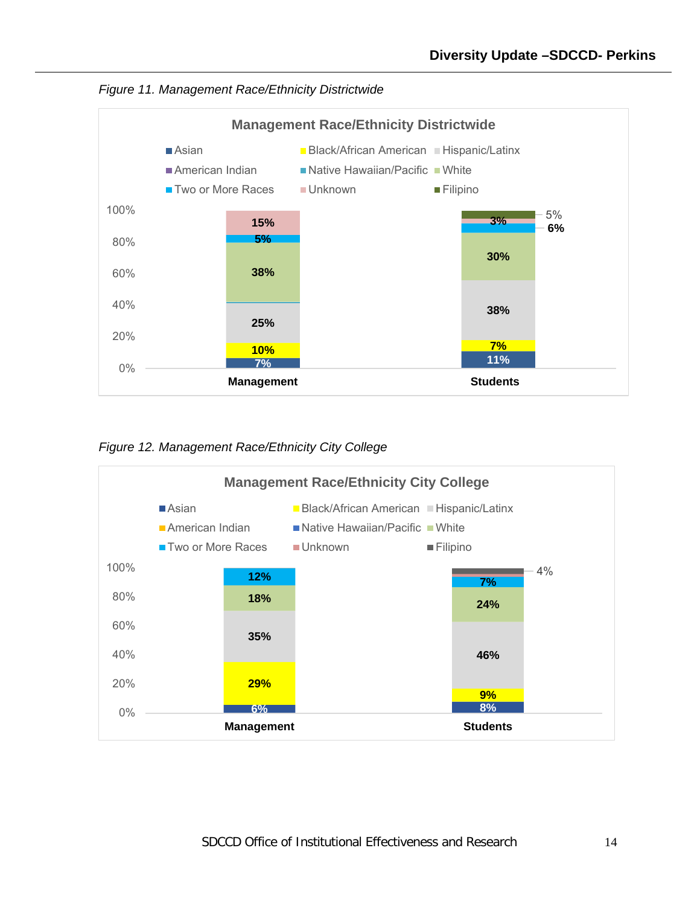<span id="page-13-0"></span>



<span id="page-13-1"></span>*Figure 12. Management Race/Ethnicity City College*

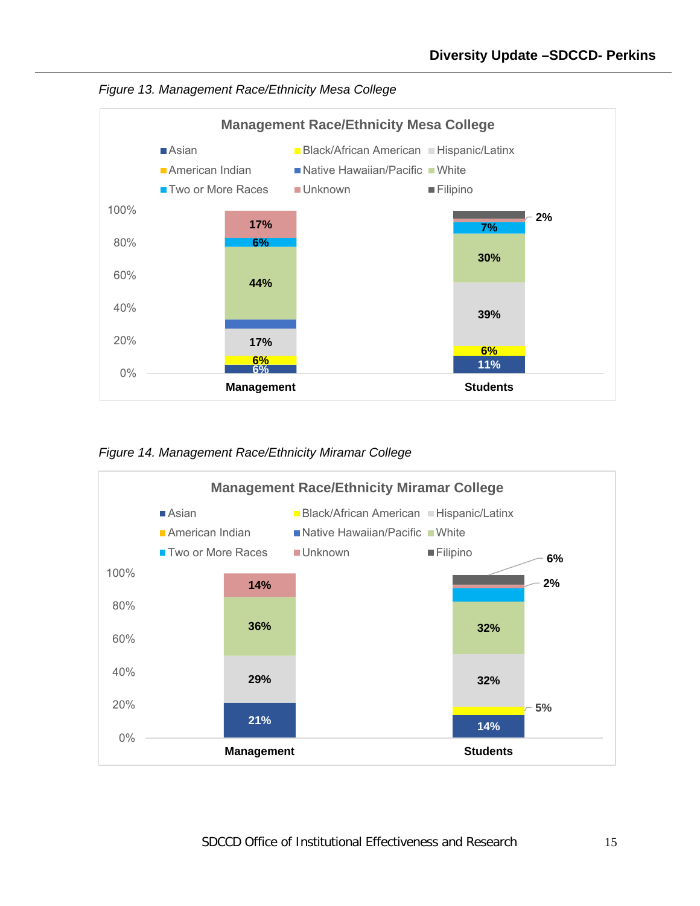<span id="page-14-0"></span>



<span id="page-14-1"></span>*Figure 14. Management Race/Ethnicity Miramar College*

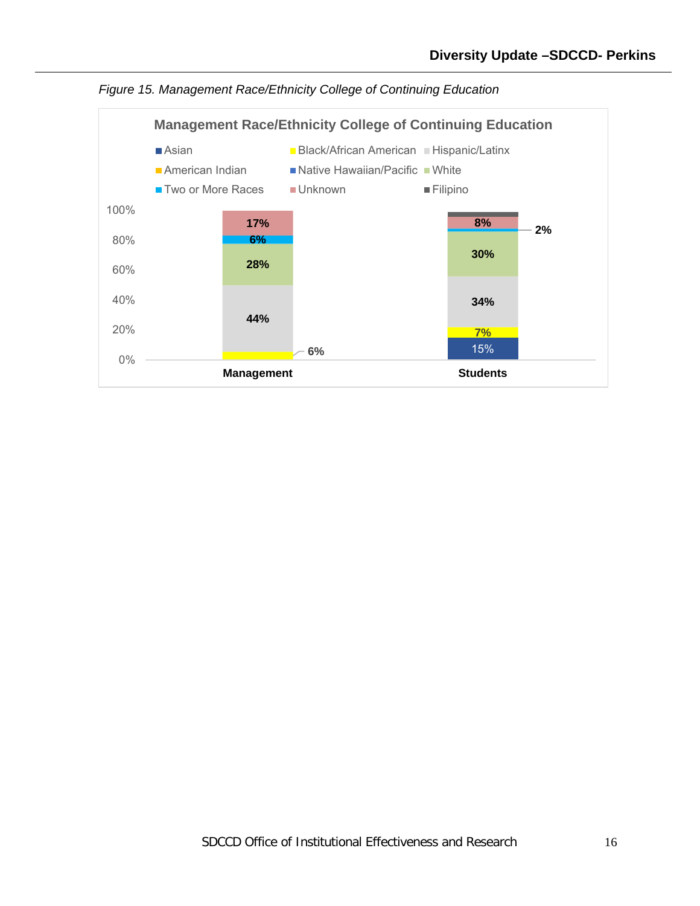

<span id="page-15-0"></span>*Figure 15. Management Race/Ethnicity College of Continuing Education*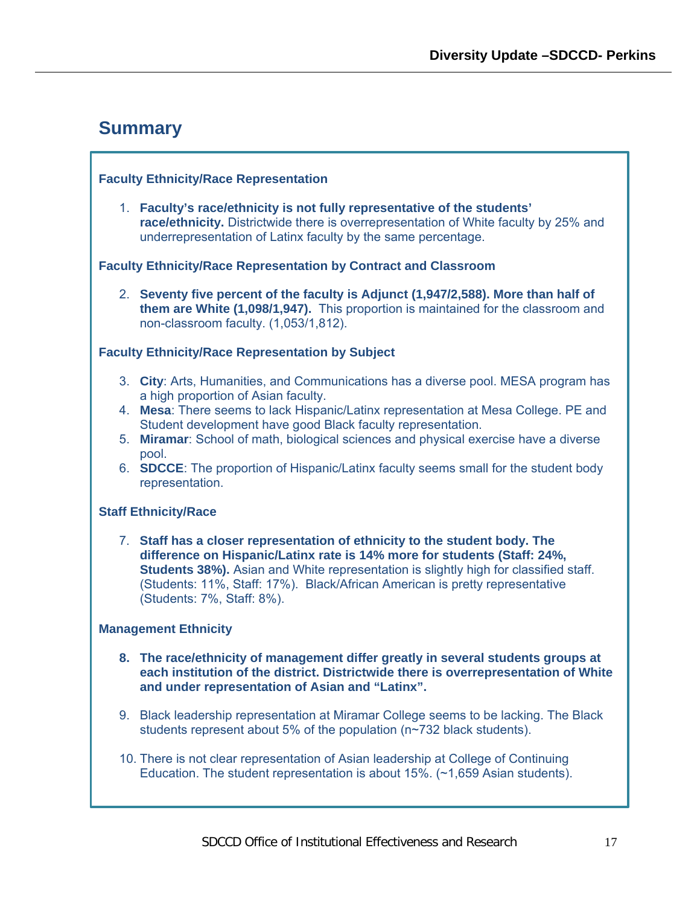# <span id="page-16-0"></span>**Summary**

#### **Faculty Ethnicity/Race Representation**

1. **Faculty's race/ethnicity is not fully representative of the students' race/ethnicity.** Districtwide there is overrepresentation of White faculty by 25% and underrepresentation of Latinx faculty by the same percentage.

#### **Faculty Ethnicity/Race Representation by Contract and Classroom**

2. **Seventy five percent of the faculty is Adjunct (1,947/2,588). More than half of them are White (1,098/1,947).** This proportion is maintained for the classroom and non-classroom faculty. (1,053/1,812).

#### **Faculty Ethnicity/Race Representation by Subject**

- 3. **City**: Arts, Humanities, and Communications has a diverse pool. MESA program has a high proportion of Asian faculty.
- 4. **Mesa**: There seems to lack Hispanic/Latinx representation at Mesa College. PE and Student development have good Black faculty representation.
- 5. **Miramar**: School of math, biological sciences and physical exercise have a diverse pool.
- 6. **SDCCE**: The proportion of Hispanic/Latinx faculty seems small for the student body representation.

#### **Staff Ethnicity/Race**

7. **Staff has a closer representation of ethnicity to the student body. The difference on Hispanic/Latinx rate is 14% more for students (Staff: 24%, Students 38%).** Asian and White representation is slightly high for classified staff. (Students: 11%, Staff: 17%). Black/African American is pretty representative (Students: 7%, Staff: 8%).

#### **Management Ethnicity**

- **8. The race/ethnicity of management differ greatly in several students groups at each institution of the district. Districtwide there is overrepresentation of White and under representation of Asian and "Latinx".**
- 9. Black leadership representation at Miramar College seems to be lacking. The Black students represent about 5% of the population (n~732 black students).
- 10. There is not clear representation of Asian leadership at College of Continuing Education. The student representation is about 15%. (~1,659 Asian students).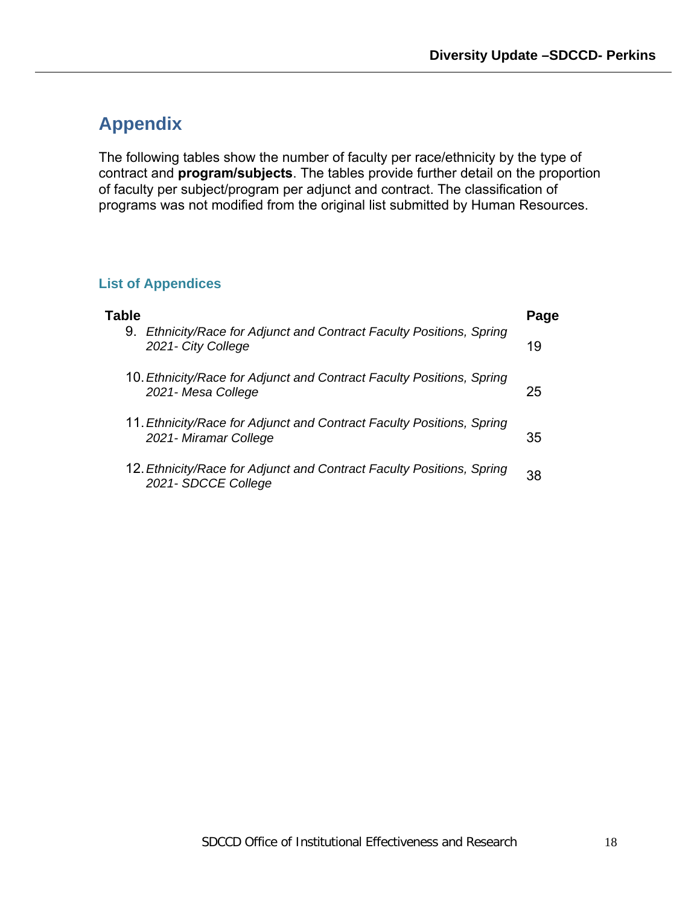# <span id="page-17-0"></span>**Appendix**

The following tables show the number of faculty per race/ethnicity by the type of contract and **program/subjects**. The tables provide further detail on the proportion of faculty per subject/program per adjunct and contract. The classification of programs was not modified from the original list submitted by Human Resources.

## **List of Appendices**

| Table                                                                                           | Page |
|-------------------------------------------------------------------------------------------------|------|
| 9. Ethnicity/Race for Adjunct and Contract Faculty Positions, Spring<br>2021- City College      | 19   |
| 10. Ethnicity/Race for Adjunct and Contract Faculty Positions, Spring<br>2021- Mesa College     | 25   |
| 11. Ethnicity/Race for Adjunct and Contract Faculty Positions, Spring<br>2021 - Miramar College | 35   |
| 12. Ethnicity/Race for Adjunct and Contract Faculty Positions, Spring<br>2021- SDCCE College    | 38   |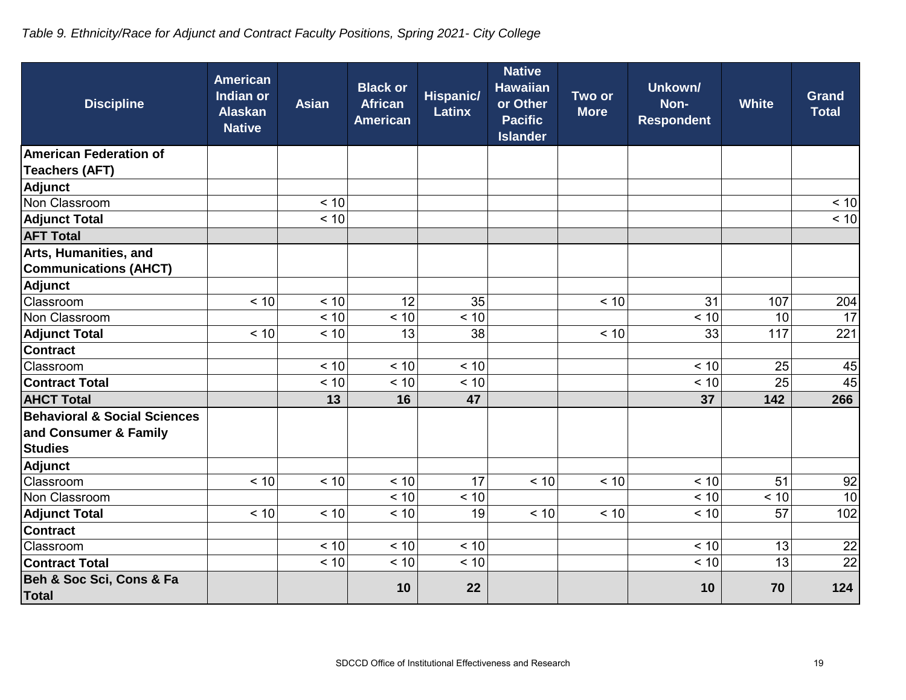# *Table 9. Ethnicity/Race for Adjunct and Contract Faculty Positions, Spring 2021- City College*

| <b>Discipline</b>                       | <b>American</b><br>Indian or<br><b>Alaskan</b><br><b>Native</b> | <b>Asian</b> | <b>Black or</b><br><b>African</b><br><b>American</b> | <b>Hispanic/</b><br><b>Latinx</b> | <b>Native</b><br><b>Hawaiian</b><br>or Other<br><b>Pacific</b><br><b>Islander</b> | Two or<br><b>More</b> | Unkown/<br>Non-<br><b>Respondent</b> | <b>White</b> | <b>Grand</b><br><b>Total</b> |
|-----------------------------------------|-----------------------------------------------------------------|--------------|------------------------------------------------------|-----------------------------------|-----------------------------------------------------------------------------------|-----------------------|--------------------------------------|--------------|------------------------------|
| <b>American Federation of</b>           |                                                                 |              |                                                      |                                   |                                                                                   |                       |                                      |              |                              |
| <b>Teachers (AFT)</b>                   |                                                                 |              |                                                      |                                   |                                                                                   |                       |                                      |              |                              |
| <b>Adjunct</b>                          |                                                                 |              |                                                      |                                   |                                                                                   |                       |                                      |              |                              |
| Non Classroom                           |                                                                 | < 10         |                                                      |                                   |                                                                                   |                       |                                      |              | < 10                         |
| <b>Adjunct Total</b>                    |                                                                 | < 10         |                                                      |                                   |                                                                                   |                       |                                      |              | < 10                         |
| <b>AFT Total</b>                        |                                                                 |              |                                                      |                                   |                                                                                   |                       |                                      |              |                              |
| Arts, Humanities, and                   |                                                                 |              |                                                      |                                   |                                                                                   |                       |                                      |              |                              |
| <b>Communications (AHCT)</b>            |                                                                 |              |                                                      |                                   |                                                                                   |                       |                                      |              |                              |
| <b>Adjunct</b>                          |                                                                 |              |                                                      |                                   |                                                                                   |                       |                                      |              |                              |
| Classroom                               | < 10                                                            | < 10         | 12                                                   | 35                                |                                                                                   | < 10                  | 31                                   | 107          | 204                          |
| Non Classroom                           |                                                                 | < 10         | < 10                                                 | < 10                              |                                                                                   |                       | < 10                                 | 10           | $\overline{17}$              |
| <b>Adjunct Total</b>                    | < 10                                                            | < 10         | 13                                                   | 38                                |                                                                                   | < 10                  | 33                                   | 117          | 221                          |
| <b>Contract</b>                         |                                                                 |              |                                                      |                                   |                                                                                   |                       |                                      |              |                              |
| Classroom                               |                                                                 | < 10         | < 10                                                 | < 10                              |                                                                                   |                       | < 10                                 | 25           | 45                           |
| <b>Contract Total</b>                   |                                                                 | < 10         | < 10                                                 | < 10                              |                                                                                   |                       | < 10                                 | 25           | 45                           |
| <b>AHCT Total</b>                       |                                                                 | 13           | 16                                                   | 47                                |                                                                                   |                       | 37                                   | 142          | 266                          |
| <b>Behavioral &amp; Social Sciences</b> |                                                                 |              |                                                      |                                   |                                                                                   |                       |                                      |              |                              |
| and Consumer & Family                   |                                                                 |              |                                                      |                                   |                                                                                   |                       |                                      |              |                              |
| <b>Studies</b>                          |                                                                 |              |                                                      |                                   |                                                                                   |                       |                                      |              |                              |
| <b>Adjunct</b>                          |                                                                 |              |                                                      |                                   |                                                                                   |                       |                                      |              |                              |
| Classroom                               | < 10                                                            | < 10         | < 10                                                 | 17                                | < 10                                                                              | < 10                  | < 10                                 | 51           | 92                           |
| Non Classroom                           |                                                                 |              | < 10                                                 | < 10                              |                                                                                   |                       | < 10                                 | < 10         | 10                           |
| <b>Adjunct Total</b>                    | < 10                                                            | < 10         | < 10                                                 | 19                                | < 10                                                                              | < 10                  | < 10                                 | 57           | 102                          |
| <b>Contract</b>                         |                                                                 |              |                                                      |                                   |                                                                                   |                       |                                      |              |                              |
| Classroom                               |                                                                 | < 10         | < 10                                                 | < 10                              |                                                                                   |                       | < 10                                 | 13           | 22                           |
| <b>Contract Total</b>                   |                                                                 | < 10         | < 10                                                 | < 10                              |                                                                                   |                       | < 10                                 | 13           | 22                           |
| Beh & Soc Sci, Cons & Fa<br>Total       |                                                                 |              | 10                                                   | 22                                |                                                                                   |                       | 10                                   | 70           | 124                          |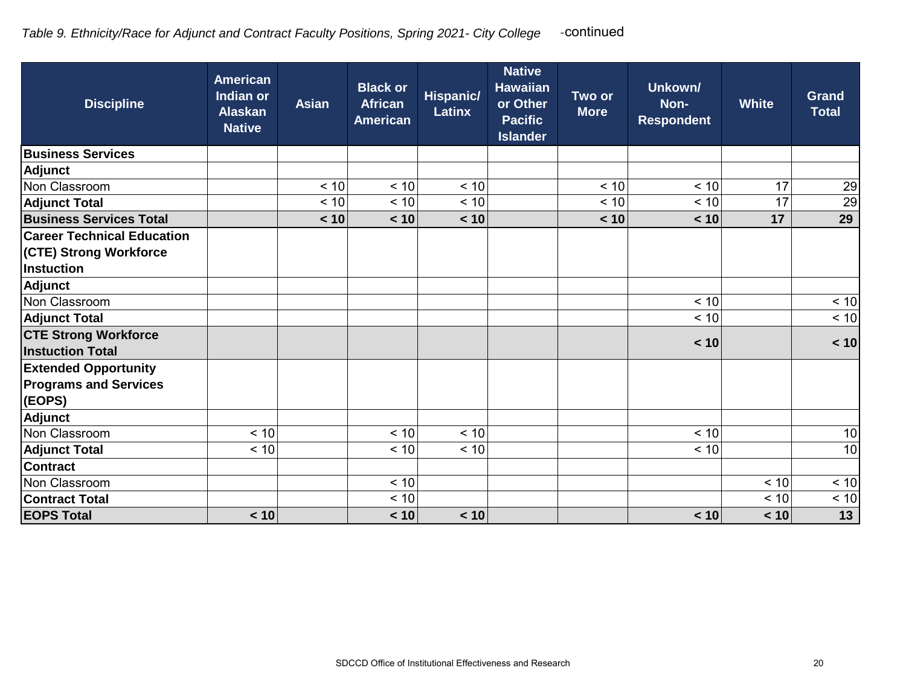| <b>Discipline</b>                                                                | <b>American</b><br>Indian or<br><b>Alaskan</b><br><b>Native</b> | <b>Asian</b> | <b>Black or</b><br><b>African</b><br><b>American</b> | <b>Hispanic/</b><br><b>Latinx</b> | <b>Native</b><br><b>Hawaiian</b><br>or Other<br><b>Pacific</b><br><b>Islander</b> | Two or<br><b>More</b> | Unkown/<br>Non-<br><b>Respondent</b> | <b>White</b> | <b>Grand</b><br><b>Total</b> |
|----------------------------------------------------------------------------------|-----------------------------------------------------------------|--------------|------------------------------------------------------|-----------------------------------|-----------------------------------------------------------------------------------|-----------------------|--------------------------------------|--------------|------------------------------|
| <b>Business Services</b>                                                         |                                                                 |              |                                                      |                                   |                                                                                   |                       |                                      |              |                              |
| Adjunct                                                                          |                                                                 |              |                                                      |                                   |                                                                                   |                       |                                      |              |                              |
| Non Classroom                                                                    |                                                                 | < 10         | < 10                                                 | < 10                              |                                                                                   | < 10                  | < 10                                 | 17           | 29                           |
| <b>Adjunct Total</b>                                                             |                                                                 | < 10         | < 10                                                 | < 10                              |                                                                                   | < 10                  | < 10                                 | 17           | 29                           |
| <b>Business Services Total</b>                                                   |                                                                 | < 10         | < 10                                                 | < 10                              |                                                                                   | < 10                  | < 10                                 | 17           | 29                           |
| <b>Career Technical Education</b><br>(CTE) Strong Workforce<br><b>Instuction</b> |                                                                 |              |                                                      |                                   |                                                                                   |                       |                                      |              |                              |
| Adjunct<br>Non Classroom                                                         |                                                                 |              |                                                      |                                   |                                                                                   |                       | < 10                                 |              | < 10                         |
|                                                                                  |                                                                 |              |                                                      |                                   |                                                                                   |                       | < 10                                 |              | < 10                         |
| <b>Adjunct Total</b>                                                             |                                                                 |              |                                                      |                                   |                                                                                   |                       |                                      |              |                              |
| <b>CTE Strong Workforce</b><br><b>Instuction Total</b>                           |                                                                 |              |                                                      |                                   |                                                                                   |                       | < 10                                 |              | < 10                         |
| <b>Extended Opportunity</b><br><b>Programs and Services</b><br>(EOPS)            |                                                                 |              |                                                      |                                   |                                                                                   |                       |                                      |              |                              |
| Adjunct                                                                          |                                                                 |              |                                                      |                                   |                                                                                   |                       |                                      |              |                              |
| Non Classroom                                                                    | < 10                                                            |              | < 10                                                 | < 10                              |                                                                                   |                       | < 10                                 |              | 10                           |
| <b>Adjunct Total</b>                                                             | < 10                                                            |              | < 10                                                 | < 10                              |                                                                                   |                       | < 10                                 |              | 10                           |
| <b>Contract</b>                                                                  |                                                                 |              |                                                      |                                   |                                                                                   |                       |                                      |              |                              |
| Non Classroom                                                                    |                                                                 |              | < 10                                                 |                                   |                                                                                   |                       |                                      | < 10         | < 10                         |
| <b>Contract Total</b>                                                            |                                                                 |              | < 10                                                 |                                   |                                                                                   |                       |                                      | < 10         | < 10                         |
| <b>EOPS Total</b>                                                                | < 10                                                            |              | < 10                                                 | < 10                              |                                                                                   |                       | < 10                                 | < 10         | 13                           |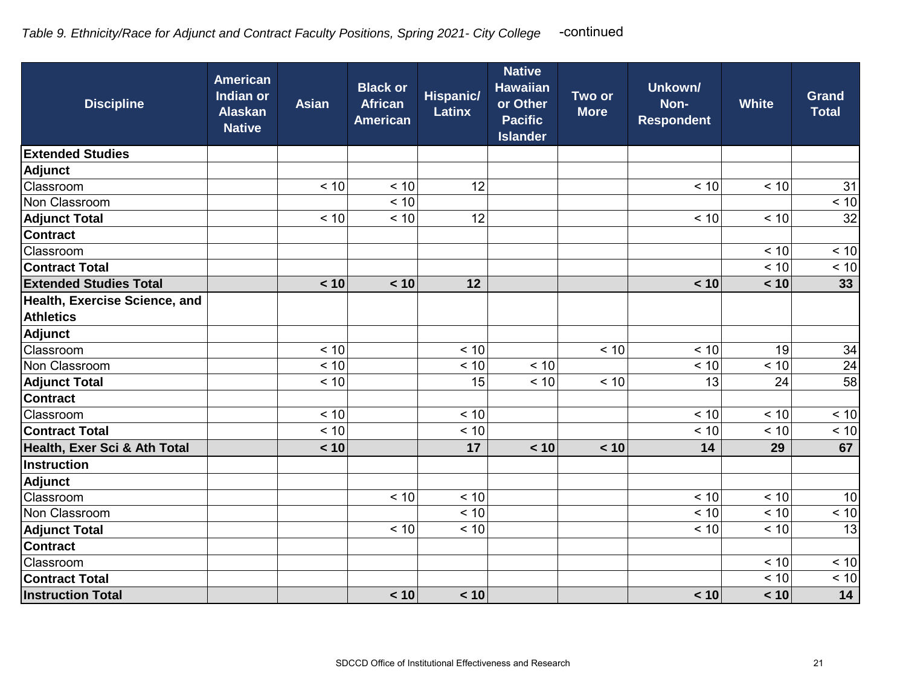| <b>Discipline</b>             | <b>American</b><br>Indian or<br><b>Alaskan</b><br><b>Native</b> | <b>Asian</b> | <b>Black or</b><br><b>African</b><br><b>American</b> | <b>Hispanic/</b><br><b>Latinx</b> | <b>Native</b><br><b>Hawaiian</b><br>or Other<br><b>Pacific</b><br><b>Islander</b> | Two or<br><b>More</b> | Unkown/<br>Non-<br><b>Respondent</b> | <b>White</b> | <b>Grand</b><br><b>Total</b> |
|-------------------------------|-----------------------------------------------------------------|--------------|------------------------------------------------------|-----------------------------------|-----------------------------------------------------------------------------------|-----------------------|--------------------------------------|--------------|------------------------------|
| <b>Extended Studies</b>       |                                                                 |              |                                                      |                                   |                                                                                   |                       |                                      |              |                              |
| Adjunct                       |                                                                 |              |                                                      |                                   |                                                                                   |                       |                                      |              |                              |
| Classroom                     |                                                                 | < 10         | < 10                                                 | 12                                |                                                                                   |                       | < 10                                 | < 10         | 31                           |
| Non Classroom                 |                                                                 |              | < 10                                                 |                                   |                                                                                   |                       |                                      |              | < 10                         |
| <b>Adjunct Total</b>          |                                                                 | < 10         | < 10                                                 | 12                                |                                                                                   |                       | < 10                                 | < 10         | 32                           |
| <b>Contract</b>               |                                                                 |              |                                                      |                                   |                                                                                   |                       |                                      |              |                              |
| Classroom                     |                                                                 |              |                                                      |                                   |                                                                                   |                       |                                      | < 10         | < 10                         |
| <b>Contract Total</b>         |                                                                 |              |                                                      |                                   |                                                                                   |                       |                                      | < 10         | < 10                         |
| <b>Extended Studies Total</b> |                                                                 | < 10         | < 10                                                 | 12                                |                                                                                   |                       | < 10                                 | < 10         | 33                           |
| Health, Exercise Science, and |                                                                 |              |                                                      |                                   |                                                                                   |                       |                                      |              |                              |
| <b>Athletics</b>              |                                                                 |              |                                                      |                                   |                                                                                   |                       |                                      |              |                              |
| Adjunct                       |                                                                 |              |                                                      |                                   |                                                                                   |                       |                                      |              |                              |
| Classroom                     |                                                                 | < 10         |                                                      | < 10                              |                                                                                   | < 10                  | < 10                                 | 19           | 34                           |
| Non Classroom                 |                                                                 | < 10         |                                                      | < 10                              | < 10                                                                              |                       | < 10                                 | < 10         | $\overline{24}$              |
| <b>Adjunct Total</b>          |                                                                 | < 10         |                                                      | 15                                | < 10                                                                              | < 10                  | 13                                   | 24           | $\overline{58}$              |
| <b>Contract</b>               |                                                                 |              |                                                      |                                   |                                                                                   |                       |                                      |              |                              |
| Classroom                     |                                                                 | < 10         |                                                      | < 10                              |                                                                                   |                       | < 10                                 | < 10         | < 10                         |
| <b>Contract Total</b>         |                                                                 | < 10         |                                                      | < 10                              |                                                                                   |                       | < 10                                 | < 10         | < 10                         |
| Health, Exer Sci & Ath Total  |                                                                 | < 10         |                                                      | 17                                | < 10                                                                              | < 10                  | 14                                   | 29           | 67                           |
| <b>Instruction</b>            |                                                                 |              |                                                      |                                   |                                                                                   |                       |                                      |              |                              |
| Adjunct                       |                                                                 |              |                                                      |                                   |                                                                                   |                       |                                      |              |                              |
| Classroom                     |                                                                 |              | < 10                                                 | < 10                              |                                                                                   |                       | < 10                                 | < 10         | 10                           |
| Non Classroom                 |                                                                 |              |                                                      | < 10                              |                                                                                   |                       | < 10                                 | < 10         | < 10                         |
| <b>Adjunct Total</b>          |                                                                 |              | < 10                                                 | < 10                              |                                                                                   |                       | < 10                                 | < 10         | 13                           |
| <b>Contract</b>               |                                                                 |              |                                                      |                                   |                                                                                   |                       |                                      |              |                              |
| Classroom                     |                                                                 |              |                                                      |                                   |                                                                                   |                       |                                      | < 10         | < 10                         |
| <b>Contract Total</b>         |                                                                 |              |                                                      |                                   |                                                                                   |                       |                                      | < 10         | < 10                         |
| <b>Instruction Total</b>      |                                                                 |              | < 10                                                 | < 10                              |                                                                                   |                       | < 10                                 | < 10         | 14                           |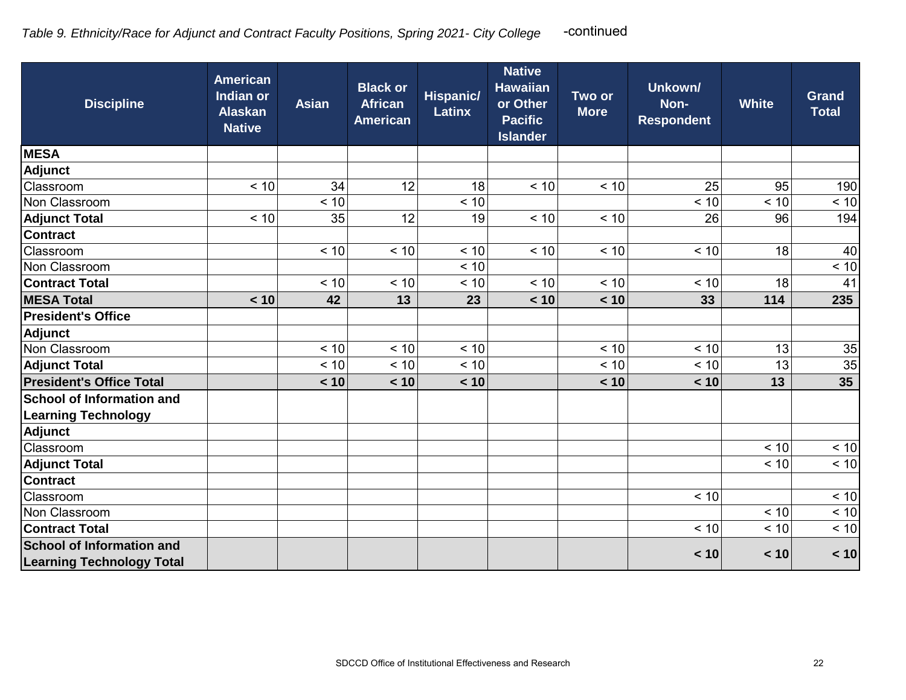| <b>Discipline</b>                | <b>American</b><br>Indian or<br><b>Alaskan</b><br><b>Native</b> | <b>Asian</b> | <b>Black or</b><br><b>African</b><br><b>American</b> | <b>Hispanic/</b><br><b>Latinx</b> | <b>Native</b><br><b>Hawaiian</b><br>or Other<br><b>Pacific</b><br><b>Islander</b> | Two or<br><b>More</b> | Unkown/<br>Non-<br><b>Respondent</b> | <b>White</b> | <b>Grand</b><br><b>Total</b> |
|----------------------------------|-----------------------------------------------------------------|--------------|------------------------------------------------------|-----------------------------------|-----------------------------------------------------------------------------------|-----------------------|--------------------------------------|--------------|------------------------------|
| <b>MESA</b>                      |                                                                 |              |                                                      |                                   |                                                                                   |                       |                                      |              |                              |
| Adjunct                          |                                                                 |              |                                                      |                                   |                                                                                   |                       |                                      |              |                              |
| Classroom                        | < 10                                                            | 34           | 12                                                   | 18                                | < 10                                                                              | < 10                  | 25                                   | 95           | 190                          |
| Non Classroom                    |                                                                 | < 10         |                                                      | < 10                              |                                                                                   |                       | < 10                                 | < 10         | < 10                         |
| <b>Adjunct Total</b>             | < 10                                                            | 35           | 12                                                   | 19                                | < 10                                                                              | < 10                  | 26                                   | 96           | 194                          |
| <b>Contract</b>                  |                                                                 |              |                                                      |                                   |                                                                                   |                       |                                      |              |                              |
| Classroom                        |                                                                 | < 10         | < 10                                                 | < 10                              | < 10                                                                              | < 10                  | < 10                                 | 18           | 40                           |
| Non Classroom                    |                                                                 |              |                                                      | < 10                              |                                                                                   |                       |                                      |              | < 10                         |
| <b>Contract Total</b>            |                                                                 | < 10         | < 10                                                 | < 10                              | < 10                                                                              | < 10                  | < 10                                 | 18           | 41                           |
| <b>MESA Total</b>                | < 10                                                            | 42           | 13                                                   | 23                                | < 10                                                                              | < 10                  | 33                                   | 114          | 235                          |
| <b>President's Office</b>        |                                                                 |              |                                                      |                                   |                                                                                   |                       |                                      |              |                              |
| <b>Adjunct</b>                   |                                                                 |              |                                                      |                                   |                                                                                   |                       |                                      |              |                              |
| Non Classroom                    |                                                                 | < 10         | < 10                                                 | < 10                              |                                                                                   | < 10                  | < 10                                 | 13           | 35                           |
| <b>Adjunct Total</b>             |                                                                 | < 10         | < 10                                                 | < 10                              |                                                                                   | < 10                  | < 10                                 | 13           | 35                           |
| <b>President's Office Total</b>  |                                                                 | < 10         | < 10                                                 | < 10                              |                                                                                   | < 10                  | < 10                                 | 13           | 35                           |
| <b>School of Information and</b> |                                                                 |              |                                                      |                                   |                                                                                   |                       |                                      |              |                              |
| <b>Learning Technology</b>       |                                                                 |              |                                                      |                                   |                                                                                   |                       |                                      |              |                              |
| <b>Adjunct</b>                   |                                                                 |              |                                                      |                                   |                                                                                   |                       |                                      |              |                              |
| Classroom                        |                                                                 |              |                                                      |                                   |                                                                                   |                       |                                      | < 10         | < 10                         |
| <b>Adjunct Total</b>             |                                                                 |              |                                                      |                                   |                                                                                   |                       |                                      | < 10         | < 10                         |
| <b>Contract</b>                  |                                                                 |              |                                                      |                                   |                                                                                   |                       |                                      |              |                              |
| Classroom                        |                                                                 |              |                                                      |                                   |                                                                                   |                       | $< 10$                               |              | $< 10$                       |
| Non Classroom                    |                                                                 |              |                                                      |                                   |                                                                                   |                       |                                      | < 10         | < 10                         |
| <b>Contract Total</b>            |                                                                 |              |                                                      |                                   |                                                                                   |                       | < 10                                 | < 10         | < 10                         |
| <b>School of Information and</b> |                                                                 |              |                                                      |                                   |                                                                                   |                       | < 10                                 | < 10         | < 10                         |
| <b>Learning Technology Total</b> |                                                                 |              |                                                      |                                   |                                                                                   |                       |                                      |              |                              |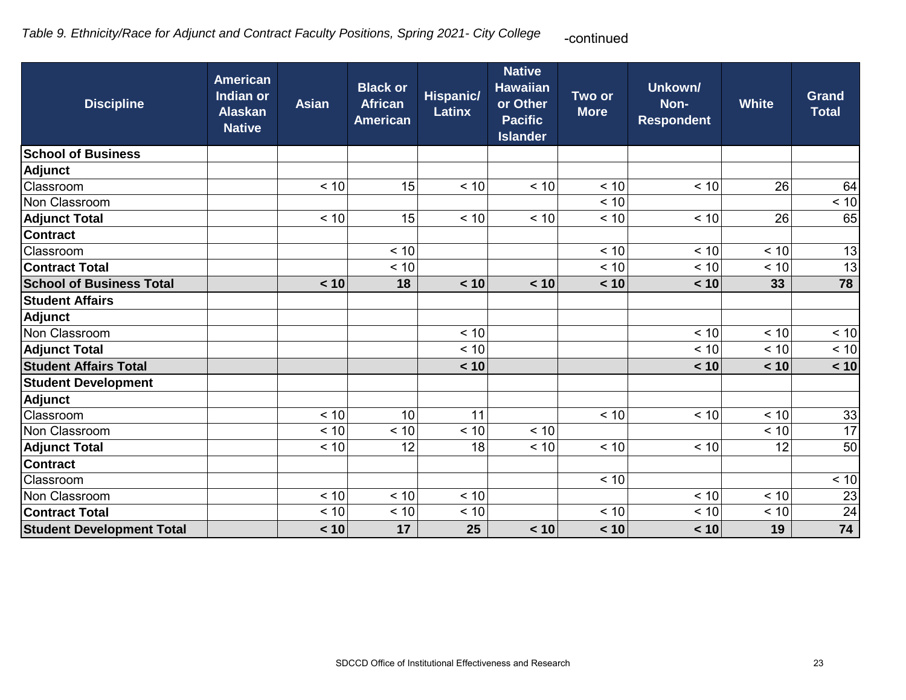| <b>Discipline</b>                | <b>American</b><br>Indian or<br><b>Alaskan</b><br><b>Native</b> | <b>Asian</b> | <b>Black or</b><br><b>African</b><br><b>American</b> | <b>Hispanic/</b><br><b>Latinx</b> | <b>Native</b><br><b>Hawaiian</b><br>or Other<br><b>Pacific</b><br><b>Islander</b> | Two or<br><b>More</b> | Unkown/<br>Non-<br><b>Respondent</b> | <b>White</b> | <b>Grand</b><br><b>Total</b> |
|----------------------------------|-----------------------------------------------------------------|--------------|------------------------------------------------------|-----------------------------------|-----------------------------------------------------------------------------------|-----------------------|--------------------------------------|--------------|------------------------------|
| <b>School of Business</b>        |                                                                 |              |                                                      |                                   |                                                                                   |                       |                                      |              |                              |
| <b>Adjunct</b>                   |                                                                 |              |                                                      |                                   |                                                                                   |                       |                                      |              |                              |
| Classroom                        |                                                                 | < 10         | 15                                                   | < 10                              | < 10                                                                              | < 10                  | < 10                                 | 26           | 64                           |
| Non Classroom                    |                                                                 |              |                                                      |                                   |                                                                                   | < 10                  |                                      |              | < 10                         |
| <b>Adjunct Total</b>             |                                                                 | < 10         | 15                                                   | < 10                              | < 10                                                                              | < 10                  | < 10                                 | 26           | 65                           |
| <b>Contract</b>                  |                                                                 |              |                                                      |                                   |                                                                                   |                       |                                      |              |                              |
| Classroom                        |                                                                 |              | < 10                                                 |                                   |                                                                                   | < 10                  | < 10                                 | < 10         | 13                           |
| <b>Contract Total</b>            |                                                                 |              | < 10                                                 |                                   |                                                                                   | < 10                  | < 10                                 | < 10         | 13                           |
| <b>School of Business Total</b>  |                                                                 | < 10         | 18                                                   | < 10                              | < 10                                                                              | < 10                  | < 10                                 | 33           | 78                           |
| <b>Student Affairs</b>           |                                                                 |              |                                                      |                                   |                                                                                   |                       |                                      |              |                              |
| Adjunct                          |                                                                 |              |                                                      |                                   |                                                                                   |                       |                                      |              |                              |
| Non Classroom                    |                                                                 |              |                                                      | < 10                              |                                                                                   |                       | < 10                                 | < 10         | < 10                         |
| <b>Adjunct Total</b>             |                                                                 |              |                                                      | < 10                              |                                                                                   |                       | < 10                                 | < 10         | < 10                         |
| <b>Student Affairs Total</b>     |                                                                 |              |                                                      | < 10                              |                                                                                   |                       | < 10                                 | < 10         | < 10                         |
| <b>Student Development</b>       |                                                                 |              |                                                      |                                   |                                                                                   |                       |                                      |              |                              |
| <b>Adjunct</b>                   |                                                                 |              |                                                      |                                   |                                                                                   |                       |                                      |              |                              |
| Classroom                        |                                                                 | < 10         | 10                                                   | 11                                |                                                                                   | < 10                  | < 10                                 | < 10         | 33                           |
| Non Classroom                    |                                                                 | < 10         | < 10                                                 | < 10                              | < 10                                                                              |                       |                                      | < 10         | 17                           |
| <b>Adjunct Total</b>             |                                                                 | < 10         | 12                                                   | 18                                | < 10                                                                              | < 10                  | < 10                                 | 12           | 50                           |
| <b>Contract</b>                  |                                                                 |              |                                                      |                                   |                                                                                   |                       |                                      |              |                              |
| Classroom                        |                                                                 |              |                                                      |                                   |                                                                                   | < 10                  |                                      |              | < 10                         |
| Non Classroom                    |                                                                 | < 10         | < 10                                                 | < 10                              |                                                                                   |                       | < 10                                 | < 10         | $\overline{23}$              |
| <b>Contract Total</b>            |                                                                 | < 10         | < 10                                                 | < 10                              |                                                                                   | < 10                  | < 10                                 | < 10         | 24                           |
| <b>Student Development Total</b> |                                                                 | < 10         | 17                                                   | 25                                | < 10                                                                              | < 10                  | < 10                                 | 19           | 74                           |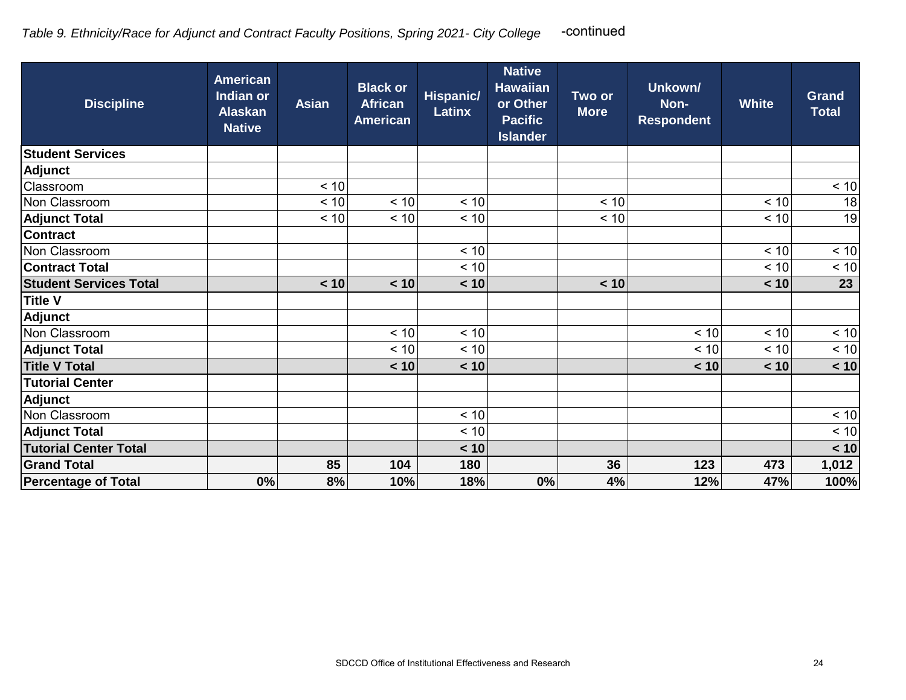| <b>Discipline</b>             | <b>American</b><br>Indian or<br><b>Alaskan</b><br><b>Native</b> | <b>Asian</b> | <b>Black or</b><br><b>African</b><br><b>American</b> | <b>Hispanic/</b><br><b>Latinx</b> | <b>Native</b><br><b>Hawaiian</b><br>or Other<br><b>Pacific</b><br><b>Islander</b> | Two or<br><b>More</b> | Unkown/<br>Non-<br><b>Respondent</b> | <b>White</b> | <b>Grand</b><br><b>Total</b> |
|-------------------------------|-----------------------------------------------------------------|--------------|------------------------------------------------------|-----------------------------------|-----------------------------------------------------------------------------------|-----------------------|--------------------------------------|--------------|------------------------------|
| <b>Student Services</b>       |                                                                 |              |                                                      |                                   |                                                                                   |                       |                                      |              |                              |
| <b>Adjunct</b>                |                                                                 |              |                                                      |                                   |                                                                                   |                       |                                      |              |                              |
| Classroom                     |                                                                 | < 10         |                                                      |                                   |                                                                                   |                       |                                      |              | < 10                         |
| Non Classroom                 |                                                                 | $< 10$       | < 10                                                 | < 10                              |                                                                                   | < 10                  |                                      | < 10         | 18                           |
| <b>Adjunct Total</b>          |                                                                 | < 10         | < 10                                                 | < 10                              |                                                                                   | < 10                  |                                      | < 10         | 19                           |
| <b>Contract</b>               |                                                                 |              |                                                      |                                   |                                                                                   |                       |                                      |              |                              |
| Non Classroom                 |                                                                 |              |                                                      | < 10                              |                                                                                   |                       |                                      | < 10         | $\overline{3}$               |
| <b>Contract Total</b>         |                                                                 |              |                                                      | < 10                              |                                                                                   |                       |                                      | < 10         | < 10                         |
| <b>Student Services Total</b> |                                                                 | < 10         | < 10                                                 | < 10                              |                                                                                   | < 10                  |                                      | < 10         | 23                           |
| <b>Title V</b>                |                                                                 |              |                                                      |                                   |                                                                                   |                       |                                      |              |                              |
| <b>Adjunct</b>                |                                                                 |              |                                                      |                                   |                                                                                   |                       |                                      |              |                              |
| Non Classroom                 |                                                                 |              | < 10                                                 | < 10                              |                                                                                   |                       | < 10                                 | < 10         | $\leq 10$                    |
| <b>Adjunct Total</b>          |                                                                 |              | < 10                                                 | < 10                              |                                                                                   |                       | < 10                                 | < 10         | < 10                         |
| <b>Title V Total</b>          |                                                                 |              | < 10                                                 | < 10                              |                                                                                   |                       | < 10                                 | < 10         | < 10                         |
| <b>Tutorial Center</b>        |                                                                 |              |                                                      |                                   |                                                                                   |                       |                                      |              |                              |
| <b>Adjunct</b>                |                                                                 |              |                                                      |                                   |                                                                                   |                       |                                      |              |                              |
| Non Classroom                 |                                                                 |              |                                                      | < 10                              |                                                                                   |                       |                                      |              | < 10                         |
| <b>Adjunct Total</b>          |                                                                 |              |                                                      | < 10                              |                                                                                   |                       |                                      |              | < 10                         |
| <b>Tutorial Center Total</b>  |                                                                 |              |                                                      | < 10                              |                                                                                   |                       |                                      |              | < 10                         |
| <b>Grand Total</b>            |                                                                 | 85           | 104                                                  | 180                               |                                                                                   | 36                    | 123                                  | 473          | 1,012                        |
| <b>Percentage of Total</b>    | 0%                                                              | 8%           | 10%                                                  | 18%                               | 0%                                                                                | 4%                    | 12%                                  | 47%          | 100%                         |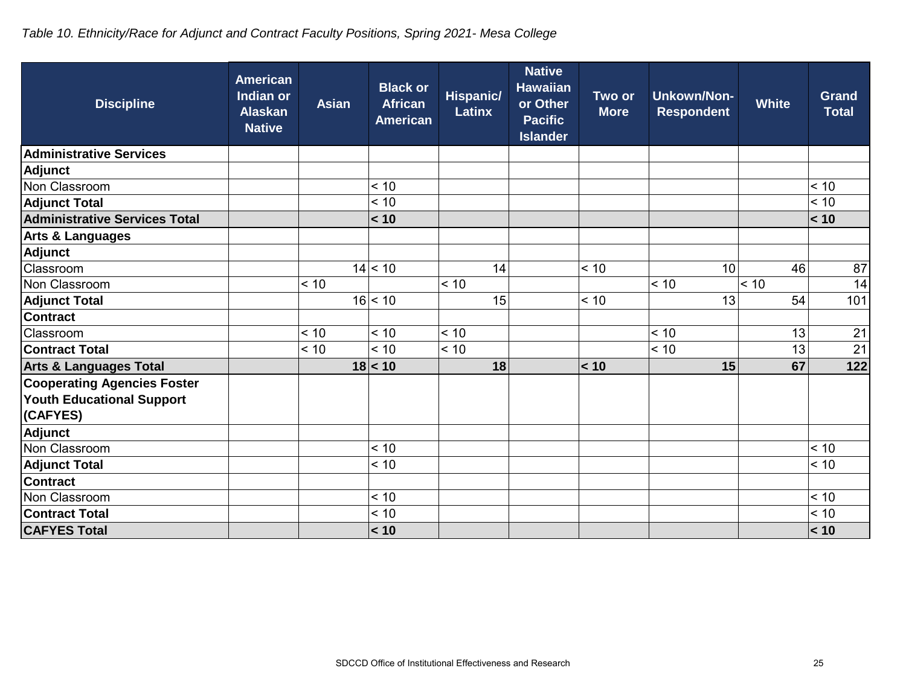# *Table 10. Ethnicity/Race for Adjunct and Contract Faculty Positions, Spring 2021- Mesa College*

| <b>Discipline</b>                    | <b>American</b><br><b>Indian or</b><br><b>Alaskan</b><br><b>Native</b> | <b>Asian</b> | <b>Black or</b><br><b>African</b><br><b>American</b> | Hispanic/<br><b>Latinx</b> | <b>Native</b><br><b>Hawaiian</b><br>or Other<br><b>Pacific</b><br><b>Islander</b> | Two or<br><b>More</b> | <b>Unkown/Non-</b><br><b>Respondent</b> | <b>White</b> | <b>Grand</b><br>Total |
|--------------------------------------|------------------------------------------------------------------------|--------------|------------------------------------------------------|----------------------------|-----------------------------------------------------------------------------------|-----------------------|-----------------------------------------|--------------|-----------------------|
| <b>Administrative Services</b>       |                                                                        |              |                                                      |                            |                                                                                   |                       |                                         |              |                       |
| Adjunct                              |                                                                        |              |                                                      |                            |                                                                                   |                       |                                         |              |                       |
| Non Classroom                        |                                                                        |              | < 10                                                 |                            |                                                                                   |                       |                                         |              | < 10                  |
| <b>Adjunct Total</b>                 |                                                                        |              | < 10                                                 |                            |                                                                                   |                       |                                         |              | < 10                  |
| <b>Administrative Services Total</b> |                                                                        |              | < 10                                                 |                            |                                                                                   |                       |                                         |              | < 10                  |
| Arts & Languages                     |                                                                        |              |                                                      |                            |                                                                                   |                       |                                         |              |                       |
| Adjunct                              |                                                                        |              |                                                      |                            |                                                                                   |                       |                                         |              |                       |
| Classroom                            |                                                                        |              | 14 < 10                                              | 14                         |                                                                                   | < 10                  | 10                                      | 46           | 87                    |
| Non Classroom                        |                                                                        | < 10         |                                                      | < 10                       |                                                                                   |                       | < 10                                    | < 10         | 14                    |
| <b>Adjunct Total</b>                 |                                                                        |              | 16 < 10                                              | 15                         |                                                                                   | < 10                  | 13                                      | 54           | 101                   |
| <b>Contract</b>                      |                                                                        |              |                                                      |                            |                                                                                   |                       |                                         |              |                       |
| Classroom                            |                                                                        | < 10         | < 10                                                 | < 10                       |                                                                                   |                       | < 10                                    | 13           | 21                    |
| <b>Contract Total</b>                |                                                                        | < 10         | < 10                                                 | < 10                       |                                                                                   |                       | < 10                                    | 13           | 21                    |
| <b>Arts &amp; Languages Total</b>    |                                                                        |              | 18 < 10                                              | 18                         |                                                                                   | < 10                  | 15                                      | 67           | 122                   |
| <b>Cooperating Agencies Foster</b>   |                                                                        |              |                                                      |                            |                                                                                   |                       |                                         |              |                       |
| <b>Youth Educational Support</b>     |                                                                        |              |                                                      |                            |                                                                                   |                       |                                         |              |                       |
| (CAFYES)                             |                                                                        |              |                                                      |                            |                                                                                   |                       |                                         |              |                       |
| Adjunct                              |                                                                        |              |                                                      |                            |                                                                                   |                       |                                         |              |                       |
| Non Classroom                        |                                                                        |              | < 10                                                 |                            |                                                                                   |                       |                                         |              | < 10                  |
| <b>Adjunct Total</b>                 |                                                                        |              | < 10                                                 |                            |                                                                                   |                       |                                         |              | < 10                  |
| <b>Contract</b>                      |                                                                        |              |                                                      |                            |                                                                                   |                       |                                         |              |                       |
| Non Classroom                        |                                                                        |              | < 10                                                 |                            |                                                                                   |                       |                                         |              | < 10                  |
| <b>Contract Total</b>                |                                                                        |              | < 10                                                 |                            |                                                                                   |                       |                                         |              | < 10                  |
| <b>CAFYES Total</b>                  |                                                                        |              | < 10                                                 |                            |                                                                                   |                       |                                         |              | < 10                  |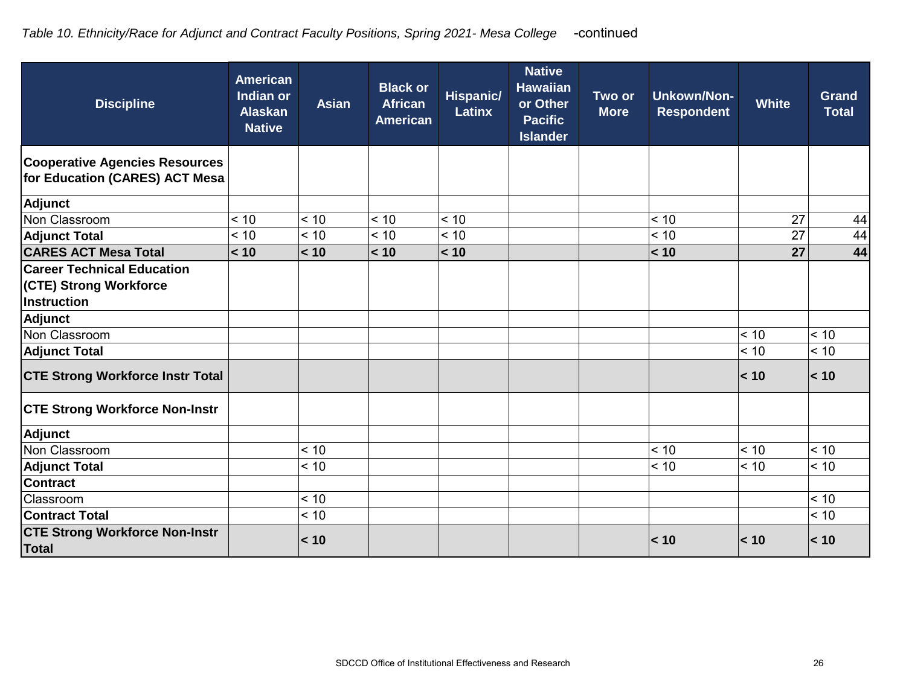| <b>Discipline</b>                                                                 | <b>American</b><br><b>Indian or</b><br><b>Alaskan</b><br><b>Native</b> | <b>Asian</b> | <b>Black or</b><br><b>African</b><br><b>American</b> | <b>Hispanic/</b><br><b>Latinx</b> | <b>Native</b><br><b>Hawaiian</b><br>or Other<br><b>Pacific</b><br><b>Islander</b> | Two or<br><b>More</b> | <b>Unkown/Non-</b><br><b>Respondent</b> | <b>White</b> | <b>Grand</b><br><b>Total</b> |
|-----------------------------------------------------------------------------------|------------------------------------------------------------------------|--------------|------------------------------------------------------|-----------------------------------|-----------------------------------------------------------------------------------|-----------------------|-----------------------------------------|--------------|------------------------------|
| <b>Cooperative Agencies Resources</b><br>for Education (CARES) ACT Mesa           |                                                                        |              |                                                      |                                   |                                                                                   |                       |                                         |              |                              |
| <b>Adjunct</b>                                                                    |                                                                        |              |                                                      |                                   |                                                                                   |                       |                                         |              |                              |
| Non Classroom                                                                     | < 10                                                                   | < 10         | < 10                                                 | < 10                              |                                                                                   |                       | < 10                                    | 27           | 44                           |
| <b>Adjunct Total</b>                                                              | < 10                                                                   | < 10         | < 10                                                 | < 10                              |                                                                                   |                       | < 10                                    | 27           | 44                           |
| <b>CARES ACT Mesa Total</b>                                                       | < 10                                                                   | < 10         | < 10                                                 | < 10                              |                                                                                   |                       | < 10                                    | 27           | 44                           |
| <b>Career Technical Education</b><br><b>(CTE) Strong Workforce</b><br>Instruction |                                                                        |              |                                                      |                                   |                                                                                   |                       |                                         |              |                              |
| <b>Adjunct</b>                                                                    |                                                                        |              |                                                      |                                   |                                                                                   |                       |                                         |              |                              |
| Non Classroom                                                                     |                                                                        |              |                                                      |                                   |                                                                                   |                       |                                         | < 10         | < 10                         |
| <b>Adjunct Total</b>                                                              |                                                                        |              |                                                      |                                   |                                                                                   |                       |                                         | < 10         | < 10                         |
| <b>CTE Strong Workforce Instr Total</b>                                           |                                                                        |              |                                                      |                                   |                                                                                   |                       |                                         | < 10         | < 10                         |
| <b>CTE Strong Workforce Non-Instr</b>                                             |                                                                        |              |                                                      |                                   |                                                                                   |                       |                                         |              |                              |
| <b>Adjunct</b>                                                                    |                                                                        |              |                                                      |                                   |                                                                                   |                       |                                         |              |                              |
| Non Classroom                                                                     |                                                                        | < 10         |                                                      |                                   |                                                                                   |                       | < 10                                    | < 10         | < 10                         |
| <b>Adjunct Total</b>                                                              |                                                                        | < 10         |                                                      |                                   |                                                                                   |                       | < 10                                    | < 10         | < 10                         |
| <b>Contract</b>                                                                   |                                                                        |              |                                                      |                                   |                                                                                   |                       |                                         |              |                              |
| Classroom                                                                         |                                                                        | < 10         |                                                      |                                   |                                                                                   |                       |                                         |              | < 10                         |
| <b>Contract Total</b>                                                             |                                                                        | < 10         |                                                      |                                   |                                                                                   |                       |                                         |              | < 10                         |
| <b>CTE Strong Workforce Non-Instr</b><br><b>Total</b>                             |                                                                        | < 10         |                                                      |                                   |                                                                                   |                       | < 10                                    | < 10         | < 10                         |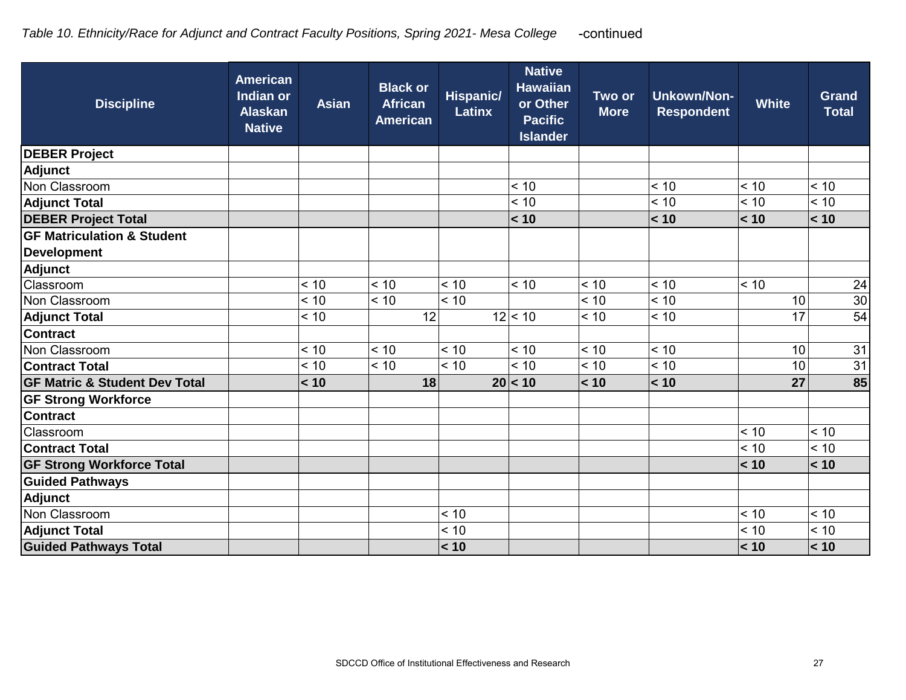| <b>Discipline</b>                        | <b>American</b><br><b>Indian or</b><br><b>Alaskan</b><br><b>Native</b> | <b>Asian</b> | <b>Black or</b><br><b>African</b><br><b>American</b> | <b>Hispanic/</b><br><b>Latinx</b> | <b>Native</b><br><b>Hawaiian</b><br>or Other<br><b>Pacific</b><br><b>Islander</b> | Two or<br><b>More</b> | <b>Unkown/Non-</b><br><b>Respondent</b> | <b>White</b> | <b>Grand</b><br><b>Total</b> |
|------------------------------------------|------------------------------------------------------------------------|--------------|------------------------------------------------------|-----------------------------------|-----------------------------------------------------------------------------------|-----------------------|-----------------------------------------|--------------|------------------------------|
| <b>DEBER Project</b>                     |                                                                        |              |                                                      |                                   |                                                                                   |                       |                                         |              |                              |
| <b>Adjunct</b>                           |                                                                        |              |                                                      |                                   |                                                                                   |                       |                                         |              |                              |
| Non Classroom                            |                                                                        |              |                                                      |                                   | < 10                                                                              |                       | < 10                                    | < 10         | < 10                         |
| <b>Adjunct Total</b>                     |                                                                        |              |                                                      |                                   | < 10                                                                              |                       | < 10                                    | < 10         | < 10                         |
| <b>DEBER Project Total</b>               |                                                                        |              |                                                      |                                   | < 10                                                                              |                       | < 10                                    | < 10         | < 10                         |
| <b>GF Matriculation &amp; Student</b>    |                                                                        |              |                                                      |                                   |                                                                                   |                       |                                         |              |                              |
| <b>Development</b>                       |                                                                        |              |                                                      |                                   |                                                                                   |                       |                                         |              |                              |
| Adjunct                                  |                                                                        |              |                                                      |                                   |                                                                                   |                       |                                         |              |                              |
| Classroom                                |                                                                        | < 10         | < 10                                                 | < 10                              | < 10                                                                              | < 10                  | < 10                                    | < 10         | 24                           |
| Non Classroom                            |                                                                        | < 10         | < 10                                                 | < 10                              |                                                                                   | < 10                  | < 10                                    | 10           | 30                           |
| <b>Adjunct Total</b>                     |                                                                        | < 10         | 12                                                   |                                   | 12 < 10                                                                           | < 10                  | < 10                                    | 17           | 54                           |
| <b>Contract</b>                          |                                                                        |              |                                                      |                                   |                                                                                   |                       |                                         |              |                              |
| Non Classroom                            |                                                                        | < 10         | < 10                                                 | < 10                              | < 10                                                                              | < 10                  | < 10                                    | 10           | 31                           |
| <b>Contract Total</b>                    |                                                                        | < 10         | < 10                                                 | < 10                              | < 10                                                                              | < 10                  | < 10                                    | 10           | 31                           |
| <b>GF Matric &amp; Student Dev Total</b> |                                                                        | < 10         | 18                                                   |                                   | 20 < 10                                                                           | < 10                  | < 10                                    | 27           | 85                           |
| <b>GF Strong Workforce</b>               |                                                                        |              |                                                      |                                   |                                                                                   |                       |                                         |              |                              |
| <b>Contract</b>                          |                                                                        |              |                                                      |                                   |                                                                                   |                       |                                         |              |                              |
| Classroom                                |                                                                        |              |                                                      |                                   |                                                                                   |                       |                                         | < 10         | < 10                         |
| <b>Contract Total</b>                    |                                                                        |              |                                                      |                                   |                                                                                   |                       |                                         | < 10         | < 10                         |
| <b>GF Strong Workforce Total</b>         |                                                                        |              |                                                      |                                   |                                                                                   |                       |                                         | < 10         | < 10                         |
| <b>Guided Pathways</b>                   |                                                                        |              |                                                      |                                   |                                                                                   |                       |                                         |              |                              |
| <b>Adjunct</b>                           |                                                                        |              |                                                      |                                   |                                                                                   |                       |                                         |              |                              |
| Non Classroom                            |                                                                        |              |                                                      | < 10                              |                                                                                   |                       |                                         | < 10         | < 10                         |
| <b>Adjunct Total</b>                     |                                                                        |              |                                                      | < 10                              |                                                                                   |                       |                                         | < 10         | < 10                         |
| <b>Guided Pathways Total</b>             |                                                                        |              |                                                      | < 10                              |                                                                                   |                       |                                         | < 10         | < 10                         |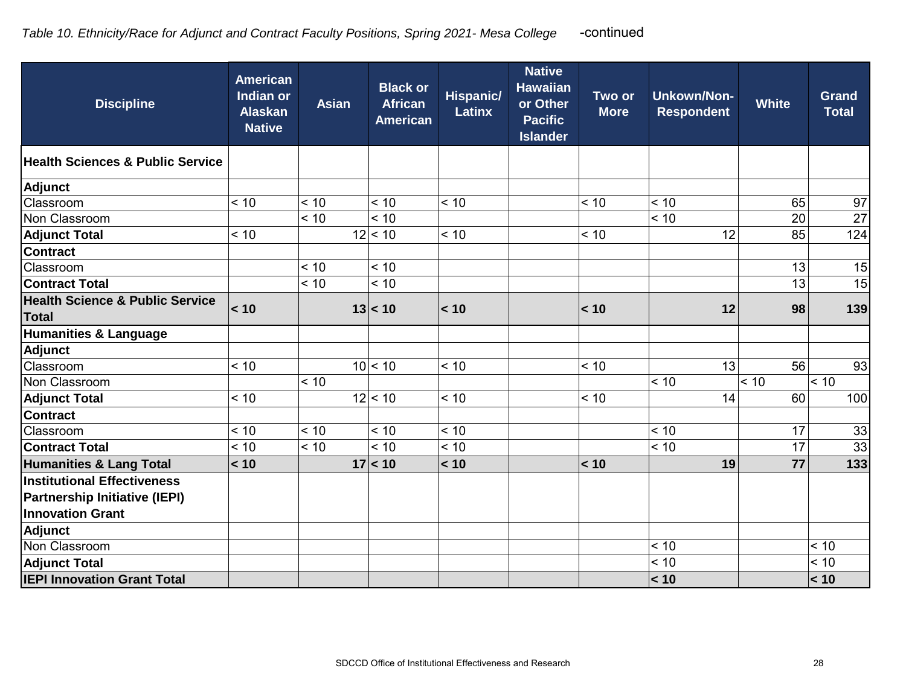| <b>Discipline</b>                          | <b>American</b><br><b>Indian or</b><br><b>Alaskan</b><br><b>Native</b> | <b>Asian</b> | <b>Black or</b><br><b>African</b><br><b>American</b> | <b>Hispanic/</b><br><b>Latinx</b> | <b>Native</b><br><b>Hawaiian</b><br>or Other<br><b>Pacific</b><br><b>Islander</b> | Two or<br><b>More</b> | <b>Unkown/Non-</b><br><b>Respondent</b> | <b>White</b> | <b>Grand</b><br><b>Total</b> |
|--------------------------------------------|------------------------------------------------------------------------|--------------|------------------------------------------------------|-----------------------------------|-----------------------------------------------------------------------------------|-----------------------|-----------------------------------------|--------------|------------------------------|
| Health Sciences & Public Service           |                                                                        |              |                                                      |                                   |                                                                                   |                       |                                         |              |                              |
| <b>Adjunct</b>                             |                                                                        |              |                                                      |                                   |                                                                                   |                       |                                         |              |                              |
| Classroom                                  | < 10                                                                   | < 10         | < 10                                                 | < 10                              |                                                                                   | < 10                  | < 10                                    | 65           | 97                           |
| Non Classroom                              |                                                                        | < 10         | < 10                                                 |                                   |                                                                                   |                       | < 10                                    | 20           | $\overline{27}$              |
| <b>Adjunct Total</b>                       | < 10                                                                   |              | 12 < 10                                              | < 10                              |                                                                                   | < 10                  | 12                                      | 85           | 124                          |
| <b>Contract</b>                            |                                                                        |              |                                                      |                                   |                                                                                   |                       |                                         |              |                              |
| Classroom                                  |                                                                        | < 10         | < 10                                                 |                                   |                                                                                   |                       |                                         | 13           | 15                           |
| <b>Contract Total</b>                      |                                                                        | < 10         | < 10                                                 |                                   |                                                                                   |                       |                                         | 13           | 15                           |
| <b>Health Science &amp; Public Service</b> | < 10                                                                   |              | 13 < 10                                              | < 10                              |                                                                                   | < 10                  | 12                                      | 98           | 139                          |
| <b>Total</b>                               |                                                                        |              |                                                      |                                   |                                                                                   |                       |                                         |              |                              |
| Humanities & Language                      |                                                                        |              |                                                      |                                   |                                                                                   |                       |                                         |              |                              |
| <b>Adjunct</b>                             |                                                                        |              |                                                      |                                   |                                                                                   |                       |                                         |              |                              |
| Classroom                                  | < 10                                                                   |              | 10 < 10                                              | < 10                              |                                                                                   | < 10                  | 13                                      | 56           | 93                           |
| Non Classroom                              |                                                                        | < 10         |                                                      |                                   |                                                                                   |                       | < 10                                    | < 10         | < 10                         |
| <b>Adjunct Total</b>                       | < 10                                                                   |              | 12 < 10                                              | < 10                              |                                                                                   | < 10                  | 14                                      | 60           | 100                          |
| <b>Contract</b>                            |                                                                        |              |                                                      |                                   |                                                                                   |                       |                                         |              |                              |
| Classroom                                  | < 10                                                                   | < 10         | < 10                                                 | < 10                              |                                                                                   |                       | < 10                                    | 17           | 33                           |
| <b>Contract Total</b>                      | < 10                                                                   | < 10         | < 10                                                 | < 10                              |                                                                                   |                       | < 10                                    | 17           | 33                           |
| <b>Humanities &amp; Lang Total</b>         | < 10                                                                   |              | 17 < 10                                              | < 10                              |                                                                                   | < 10                  | 19                                      | 77           | 133                          |
| Institutional Effectiveness                |                                                                        |              |                                                      |                                   |                                                                                   |                       |                                         |              |                              |
| <b>Partnership Initiative (IEPI)</b>       |                                                                        |              |                                                      |                                   |                                                                                   |                       |                                         |              |                              |
| <b>Innovation Grant</b>                    |                                                                        |              |                                                      |                                   |                                                                                   |                       |                                         |              |                              |
| <b>Adjunct</b>                             |                                                                        |              |                                                      |                                   |                                                                                   |                       |                                         |              |                              |
| Non Classroom                              |                                                                        |              |                                                      |                                   |                                                                                   |                       | < 10                                    |              | < 10                         |
| <b>Adjunct Total</b>                       |                                                                        |              |                                                      |                                   |                                                                                   |                       | < 10                                    |              | < 10                         |
| <b>IEPI Innovation Grant Total</b>         |                                                                        |              |                                                      |                                   |                                                                                   |                       | < 10                                    |              | < 10                         |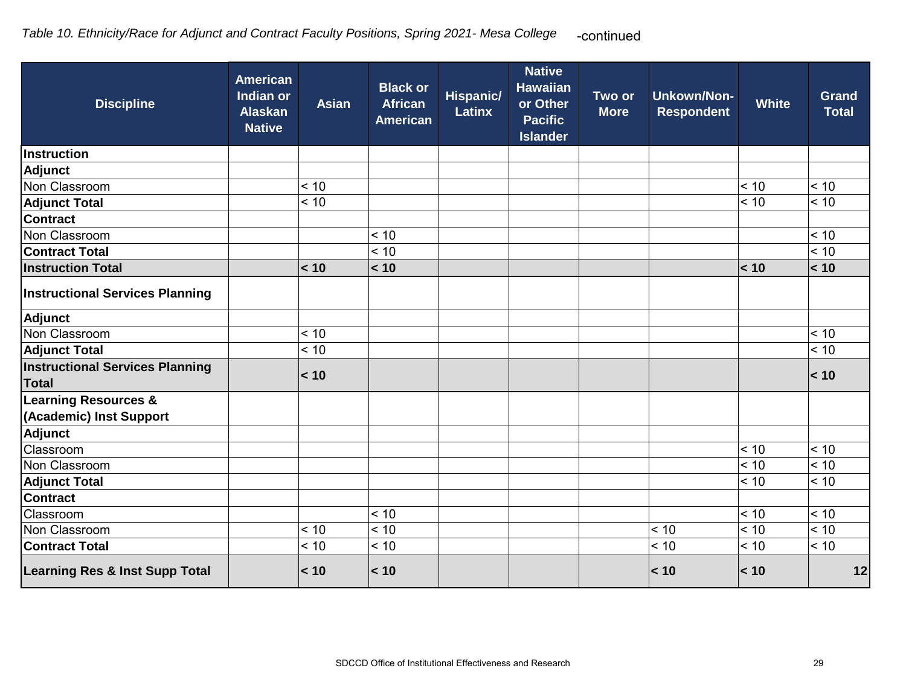| <b>Discipline</b>                                          | <b>American</b><br><b>Indian or</b><br><b>Alaskan</b><br><b>Native</b> | <b>Asian</b> | <b>Black or</b><br><b>African</b><br><b>American</b> | Hispanic/<br><b>Latinx</b> | <b>Native</b><br><b>Hawaiian</b><br>or Other<br><b>Pacific</b><br><b>Islander</b> | Two or<br><b>More</b> | <b>Unkown/Non-</b><br><b>Respondent</b> | <b>White</b> | <b>Grand</b><br><b>Total</b> |
|------------------------------------------------------------|------------------------------------------------------------------------|--------------|------------------------------------------------------|----------------------------|-----------------------------------------------------------------------------------|-----------------------|-----------------------------------------|--------------|------------------------------|
| Instruction                                                |                                                                        |              |                                                      |                            |                                                                                   |                       |                                         |              |                              |
| Adjunct                                                    |                                                                        |              |                                                      |                            |                                                                                   |                       |                                         |              |                              |
| Non Classroom                                              |                                                                        | < 10         |                                                      |                            |                                                                                   |                       |                                         | < 10         | < 10                         |
| <b>Adjunct Total</b>                                       |                                                                        | < 10         |                                                      |                            |                                                                                   |                       |                                         | < 10         | < 10                         |
| <b>Contract</b>                                            |                                                                        |              |                                                      |                            |                                                                                   |                       |                                         |              |                              |
| Non Classroom                                              |                                                                        |              | < 10                                                 |                            |                                                                                   |                       |                                         |              | < 10                         |
| Contract Total                                             |                                                                        |              | < 10                                                 |                            |                                                                                   |                       |                                         |              | < 10                         |
| <b>Instruction Total</b>                                   |                                                                        | < 10         | < 10                                                 |                            |                                                                                   |                       |                                         | < 10         | < 10                         |
| <b>Instructional Services Planning</b>                     |                                                                        |              |                                                      |                            |                                                                                   |                       |                                         |              |                              |
| <b>Adjunct</b>                                             |                                                                        |              |                                                      |                            |                                                                                   |                       |                                         |              |                              |
| Non Classroom                                              |                                                                        | < 10         |                                                      |                            |                                                                                   |                       |                                         |              | < 10                         |
| <b>Adjunct Total</b>                                       |                                                                        | < 10         |                                                      |                            |                                                                                   |                       |                                         |              | < 10                         |
| <b>Instructional Services Planning</b><br><b>Total</b>     |                                                                        | < 10         |                                                      |                            |                                                                                   |                       |                                         |              | < 10                         |
| <b>Learning Resources &amp;</b><br>(Academic) Inst Support |                                                                        |              |                                                      |                            |                                                                                   |                       |                                         |              |                              |
| <b>Adjunct</b>                                             |                                                                        |              |                                                      |                            |                                                                                   |                       |                                         |              |                              |
| Classroom                                                  |                                                                        |              |                                                      |                            |                                                                                   |                       |                                         | < 10         | < 10                         |
| Non Classroom                                              |                                                                        |              |                                                      |                            |                                                                                   |                       |                                         | < 10         | < 10                         |
| <b>Adjunct Total</b>                                       |                                                                        |              |                                                      |                            |                                                                                   |                       |                                         | < 10         | < 10                         |
| <b>Contract</b>                                            |                                                                        |              |                                                      |                            |                                                                                   |                       |                                         |              |                              |
| Classroom                                                  |                                                                        |              | < 10                                                 |                            |                                                                                   |                       |                                         | < 10         | < 10                         |
| Non Classroom                                              |                                                                        | < 10         | < 10                                                 |                            |                                                                                   |                       | < 10                                    | < 10         | < 10                         |
| <b>Contract Total</b>                                      |                                                                        | < 10         | < 10                                                 |                            |                                                                                   |                       | < 10                                    | < 10         | < 10                         |
| <b>Learning Res &amp; Inst Supp Total</b>                  |                                                                        | < 10         | < 10                                                 |                            |                                                                                   |                       | < 10                                    | < 10         | 12                           |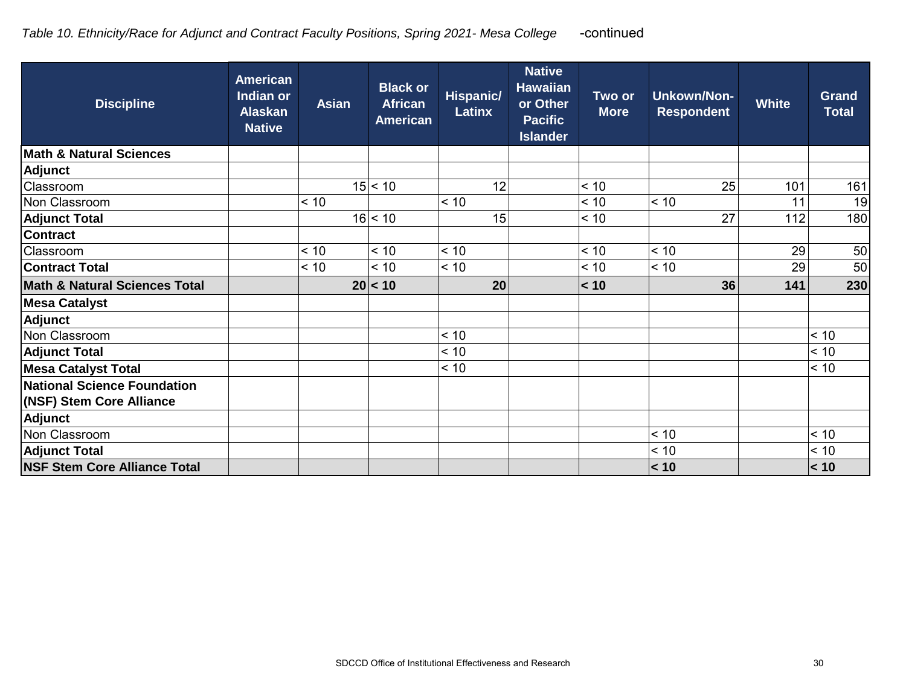| <b>Discipline</b>                        | <b>American</b><br><b>Indian or</b><br><b>Alaskan</b><br><b>Native</b> | <b>Asian</b> | <b>Black or</b><br><b>African</b><br><b>American</b> | Hispanic/<br><b>Latinx</b> | <b>Native</b><br><b>Hawaiian</b><br>or Other<br><b>Pacific</b><br><b>Islander</b> | Two or<br><b>More</b> | <b>Unkown/Non-</b><br><b>Respondent</b> | <b>White</b> | <b>Grand</b><br><b>Total</b> |
|------------------------------------------|------------------------------------------------------------------------|--------------|------------------------------------------------------|----------------------------|-----------------------------------------------------------------------------------|-----------------------|-----------------------------------------|--------------|------------------------------|
| <b>Math &amp; Natural Sciences</b>       |                                                                        |              |                                                      |                            |                                                                                   |                       |                                         |              |                              |
| <b>Adjunct</b>                           |                                                                        |              |                                                      |                            |                                                                                   |                       |                                         |              |                              |
| Classroom                                |                                                                        |              | 15 < 10                                              | 12                         |                                                                                   | < 10                  | 25                                      | 101          | 161                          |
| Non Classroom                            |                                                                        | < 10         |                                                      | < 10                       |                                                                                   | < 10                  | < 10                                    | 11           | 19                           |
| <b>Adjunct Total</b>                     |                                                                        |              | 16 < 10                                              | 15                         |                                                                                   | < 10                  | 27                                      | 112          | 180                          |
| <b>Contract</b>                          |                                                                        |              |                                                      |                            |                                                                                   |                       |                                         |              |                              |
| Classroom                                |                                                                        | < 10         | < 10                                                 | < 10                       |                                                                                   | < 10                  | < 10                                    | 29           | 50                           |
| <b>Contract Total</b>                    |                                                                        | < 10         | < 10                                                 | < 10                       |                                                                                   | < 10                  | < 10                                    | 29           | 50                           |
| <b>Math &amp; Natural Sciences Total</b> |                                                                        |              | 20 < 10                                              | 20                         |                                                                                   | < 10                  | 36                                      | 141          | 230                          |
| <b>Mesa Catalyst</b>                     |                                                                        |              |                                                      |                            |                                                                                   |                       |                                         |              |                              |
| Adjunct                                  |                                                                        |              |                                                      |                            |                                                                                   |                       |                                         |              |                              |
| Non Classroom                            |                                                                        |              |                                                      | < 10                       |                                                                                   |                       |                                         |              | < 10                         |
| <b>Adjunct Total</b>                     |                                                                        |              |                                                      | < 10                       |                                                                                   |                       |                                         |              | < 10                         |
| <b>Mesa Catalyst Total</b>               |                                                                        |              |                                                      | < 10                       |                                                                                   |                       |                                         |              | < 10                         |
| National Science Foundation              |                                                                        |              |                                                      |                            |                                                                                   |                       |                                         |              |                              |
| (NSF) Stem Core Alliance                 |                                                                        |              |                                                      |                            |                                                                                   |                       |                                         |              |                              |
| <b>Adjunct</b>                           |                                                                        |              |                                                      |                            |                                                                                   |                       |                                         |              |                              |
| Non Classroom                            |                                                                        |              |                                                      |                            |                                                                                   |                       | < 10                                    |              | < 10                         |
| <b>Adjunct Total</b>                     |                                                                        |              |                                                      |                            |                                                                                   |                       | < 10                                    |              | < 10                         |
| <b>NSF Stem Core Alliance Total</b>      |                                                                        |              |                                                      |                            |                                                                                   |                       | < 10                                    |              | < 10                         |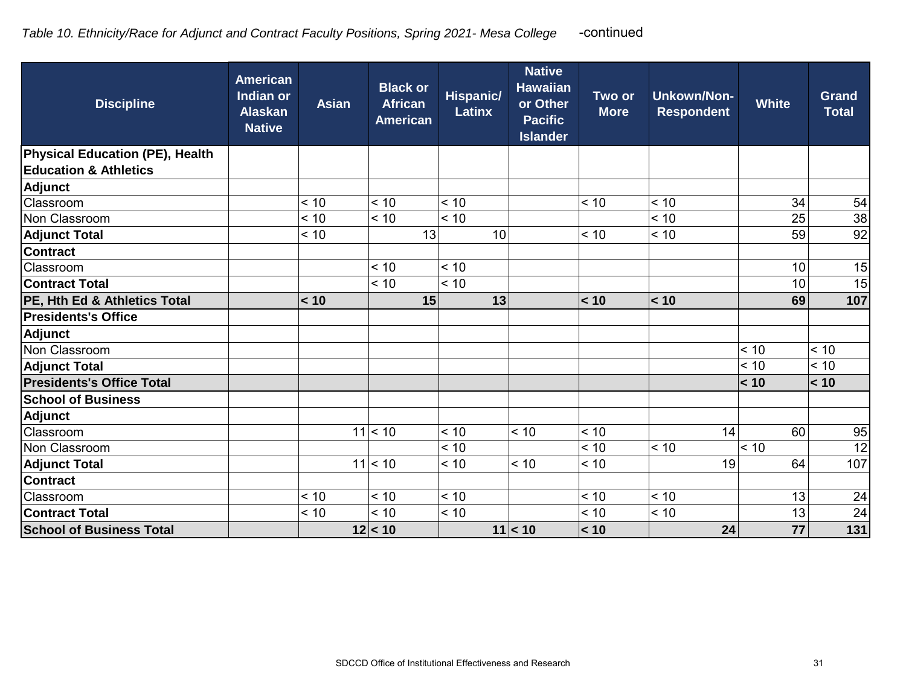| <b>Discipline</b>                | <b>American</b><br>Indian or<br><b>Alaskan</b><br><b>Native</b> | <b>Asian</b> | <b>Black or</b><br><b>African</b><br><b>American</b> | <b>Hispanic/</b><br><b>Latinx</b> | <b>Native</b><br><b>Hawaiian</b><br>or Other<br><b>Pacific</b><br><b>Islander</b> | Two or<br><b>More</b> | <b>Unkown/Non-</b><br><b>Respondent</b> | <b>White</b> | <b>Grand</b><br><b>Total</b> |
|----------------------------------|-----------------------------------------------------------------|--------------|------------------------------------------------------|-----------------------------------|-----------------------------------------------------------------------------------|-----------------------|-----------------------------------------|--------------|------------------------------|
| Physical Education (PE), Health  |                                                                 |              |                                                      |                                   |                                                                                   |                       |                                         |              |                              |
| <b>Education &amp; Athletics</b> |                                                                 |              |                                                      |                                   |                                                                                   |                       |                                         |              |                              |
| <b>Adjunct</b>                   |                                                                 |              |                                                      |                                   |                                                                                   |                       |                                         |              |                              |
| Classroom                        |                                                                 | < 10         | < 10                                                 | < 10                              |                                                                                   | < 10                  | < 10                                    | 34           | 54                           |
| Non Classroom                    |                                                                 | < 10         | < 10                                                 | < 10                              |                                                                                   |                       | < 10                                    | 25           | 38                           |
| <b>Adjunct Total</b>             |                                                                 | < 10         | 13                                                   | 10                                |                                                                                   | < 10                  | < 10                                    | 59           | 92                           |
| <b>Contract</b>                  |                                                                 |              |                                                      |                                   |                                                                                   |                       |                                         |              |                              |
| Classroom                        |                                                                 |              | < 10                                                 | < 10                              |                                                                                   |                       |                                         | 10           | 15                           |
| <b>Contract Total</b>            |                                                                 |              | < 10                                                 | < 10                              |                                                                                   |                       |                                         | 10           | 15                           |
| PE, Hth Ed & Athletics Total     |                                                                 | < 10         | 15                                                   | 13                                |                                                                                   | < 10                  | < 10                                    | 69           | 107                          |
| <b>Presidents's Office</b>       |                                                                 |              |                                                      |                                   |                                                                                   |                       |                                         |              |                              |
| <b>Adjunct</b>                   |                                                                 |              |                                                      |                                   |                                                                                   |                       |                                         |              |                              |
| Non Classroom                    |                                                                 |              |                                                      |                                   |                                                                                   |                       |                                         | < 10         | < 10                         |
| <b>Adjunct Total</b>             |                                                                 |              |                                                      |                                   |                                                                                   |                       |                                         | < 10         | < 10                         |
| <b>Presidents's Office Total</b> |                                                                 |              |                                                      |                                   |                                                                                   |                       |                                         | < 10         | < 10                         |
| <b>School of Business</b>        |                                                                 |              |                                                      |                                   |                                                                                   |                       |                                         |              |                              |
| Adjunct                          |                                                                 |              |                                                      |                                   |                                                                                   |                       |                                         |              |                              |
| Classroom                        |                                                                 |              | $11$ < 10                                            | < 10                              | < 10                                                                              | < 10                  | 14                                      | 60           | 95                           |
| Non Classroom                    |                                                                 |              |                                                      | < 10                              |                                                                                   | < 10                  | < 10                                    | < 10         | 12                           |
| <b>Adjunct Total</b>             |                                                                 |              | $11$ < 10                                            | < 10                              | < 10                                                                              | < 10                  | 19                                      | 64           | 107                          |
| <b>Contract</b>                  |                                                                 |              |                                                      |                                   |                                                                                   |                       |                                         |              |                              |
| Classroom                        |                                                                 | < 10         | < 10                                                 | < 10                              |                                                                                   | < 10                  | < 10                                    | 13           | 24                           |
| <b>Contract Total</b>            |                                                                 | < 10         | < 10                                                 | $< 10$                            |                                                                                   | < 10                  | < 10                                    | 13           | 24                           |
| <b>School of Business Total</b>  |                                                                 |              | 12 < 10                                              |                                   | 11 < 10                                                                           | < 10                  | 24                                      | 77           | 131                          |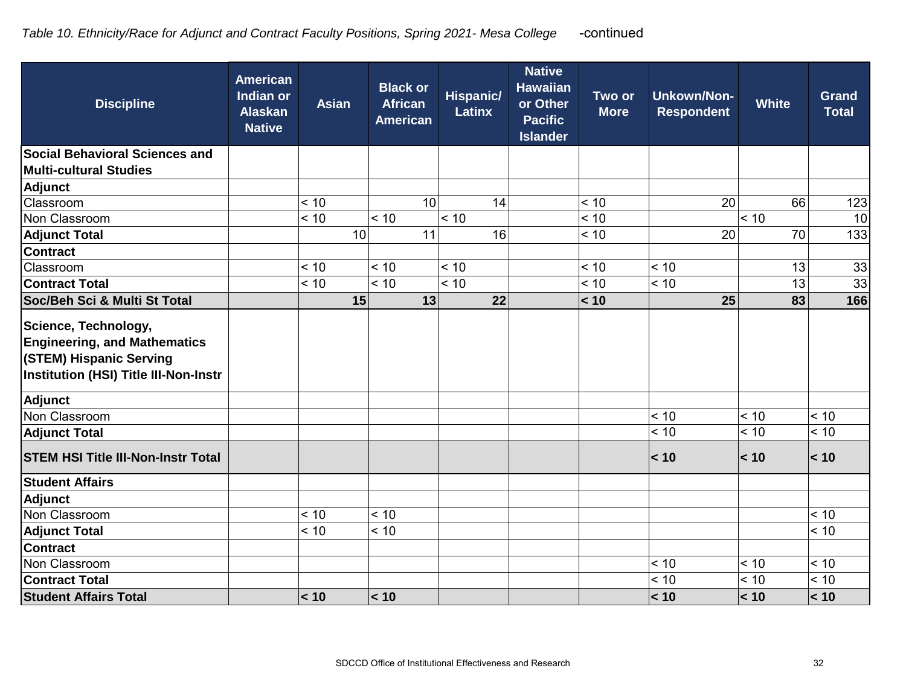| <b>Discipline</b>                                                                                                                      | <b>American</b><br><b>Indian or</b><br><b>Alaskan</b><br><b>Native</b> | <b>Asian</b> | <b>Black or</b><br><b>African</b><br><b>American</b> | <b>Hispanic/</b><br><b>Latinx</b> | <b>Native</b><br><b>Hawaiian</b><br>or Other<br><b>Pacific</b><br><b>Islander</b> | Two or<br><b>More</b> | <b>Unkown/Non-</b><br><b>Respondent</b> | <b>White</b> | <b>Grand</b><br><b>Total</b> |
|----------------------------------------------------------------------------------------------------------------------------------------|------------------------------------------------------------------------|--------------|------------------------------------------------------|-----------------------------------|-----------------------------------------------------------------------------------|-----------------------|-----------------------------------------|--------------|------------------------------|
| <b>Social Behavioral Sciences and</b>                                                                                                  |                                                                        |              |                                                      |                                   |                                                                                   |                       |                                         |              |                              |
| <b>Multi-cultural Studies</b>                                                                                                          |                                                                        |              |                                                      |                                   |                                                                                   |                       |                                         |              |                              |
| <b>Adjunct</b>                                                                                                                         |                                                                        |              |                                                      |                                   |                                                                                   |                       |                                         |              |                              |
| Classroom                                                                                                                              |                                                                        | < 10         | 10                                                   | 14                                |                                                                                   | < 10                  | 20                                      | 66           | 123                          |
| Non Classroom                                                                                                                          |                                                                        | < 10         | < 10                                                 | $\overline{5}$                    |                                                                                   | < 10                  |                                         | < 10         | 10                           |
| <b>Adjunct Total</b>                                                                                                                   |                                                                        | 10           | 11                                                   | 16                                |                                                                                   | < 10                  | 20                                      | 70           | 133                          |
| <b>Contract</b>                                                                                                                        |                                                                        |              |                                                      |                                   |                                                                                   |                       |                                         |              |                              |
| Classroom                                                                                                                              |                                                                        | < 10         | < 10                                                 | < 10                              |                                                                                   | < 10                  | < 10                                    | 13           | 33                           |
| <b>Contract Total</b>                                                                                                                  |                                                                        | < 10         | < 10                                                 | < 10                              |                                                                                   | < 10                  | < 10                                    | 13           | 33                           |
| Soc/Beh Sci & Multi St Total                                                                                                           |                                                                        | 15           | 13                                                   | 22                                |                                                                                   | < 10                  | 25                                      | 83           | 166                          |
| Science, Technology,<br><b>Engineering, and Mathematics</b><br>(STEM) Hispanic Serving<br><b>Institution (HSI) Title III-Non-Instr</b> |                                                                        |              |                                                      |                                   |                                                                                   |                       |                                         |              |                              |
| Adjunct                                                                                                                                |                                                                        |              |                                                      |                                   |                                                                                   |                       |                                         |              |                              |
| Non Classroom                                                                                                                          |                                                                        |              |                                                      |                                   |                                                                                   |                       | < 10                                    | < 10         | < 10                         |
| <b>Adjunct Total</b>                                                                                                                   |                                                                        |              |                                                      |                                   |                                                                                   |                       | < 10                                    | < 10         | < 10                         |
| <b>STEM HSI Title III-Non-Instr Total</b>                                                                                              |                                                                        |              |                                                      |                                   |                                                                                   |                       | < 10                                    | < 10         | < 10                         |
| <b>Student Affairs</b>                                                                                                                 |                                                                        |              |                                                      |                                   |                                                                                   |                       |                                         |              |                              |
| Adjunct                                                                                                                                |                                                                        |              |                                                      |                                   |                                                                                   |                       |                                         |              |                              |
| Non Classroom                                                                                                                          |                                                                        | < 10         | < 10                                                 |                                   |                                                                                   |                       |                                         |              | < 10                         |
| <b>Adjunct Total</b>                                                                                                                   |                                                                        | < 10         | < 10                                                 |                                   |                                                                                   |                       |                                         |              | < 10                         |
| <b>Contract</b>                                                                                                                        |                                                                        |              |                                                      |                                   |                                                                                   |                       |                                         |              |                              |
| Non Classroom                                                                                                                          |                                                                        |              |                                                      |                                   |                                                                                   |                       | < 10                                    | < 10         | < 10                         |
| <b>Contract Total</b>                                                                                                                  |                                                                        |              |                                                      |                                   |                                                                                   |                       | < 10                                    | < 10         | < 10                         |
| <b>Student Affairs Total</b>                                                                                                           |                                                                        | < 10         | < 10                                                 |                                   |                                                                                   |                       | < 10                                    | < 10         | < 10                         |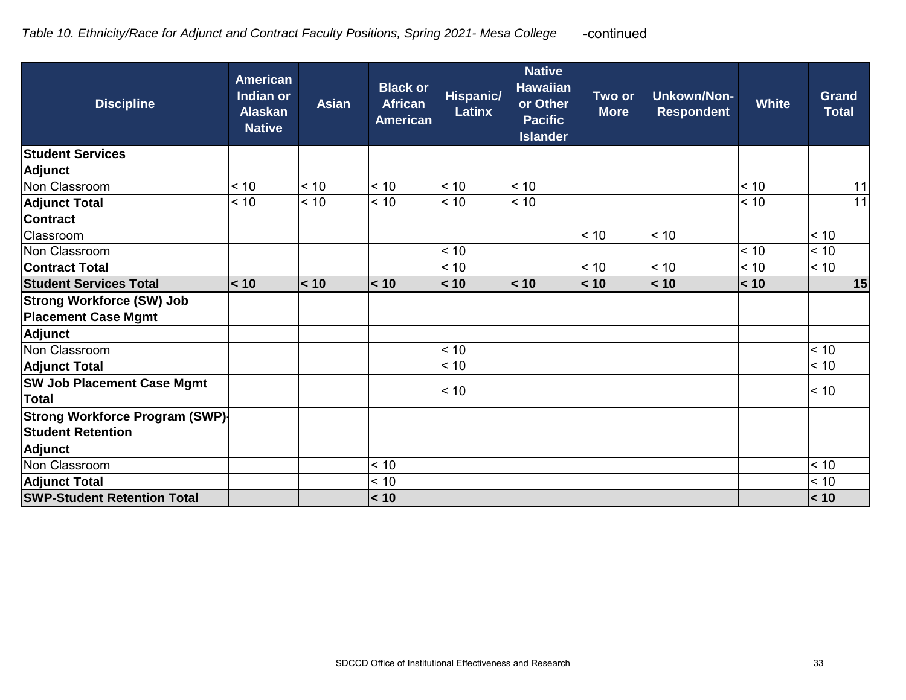| <b>Discipline</b>                      | <b>American</b><br><b>Indian or</b><br><b>Alaskan</b><br><b>Native</b> | <b>Asian</b> | <b>Black or</b><br><b>African</b><br><b>American</b> | Hispanic/<br><b>Latinx</b> | <b>Native</b><br><b>Hawaiian</b><br>or Other<br><b>Pacific</b><br><b>Islander</b> | Two or<br><b>More</b> | <b>Unkown/Non-</b><br><b>Respondent</b> | <b>White</b> | <b>Grand</b><br><b>Total</b> |
|----------------------------------------|------------------------------------------------------------------------|--------------|------------------------------------------------------|----------------------------|-----------------------------------------------------------------------------------|-----------------------|-----------------------------------------|--------------|------------------------------|
| <b>Student Services</b>                |                                                                        |              |                                                      |                            |                                                                                   |                       |                                         |              |                              |
| Adjunct                                |                                                                        |              |                                                      |                            |                                                                                   |                       |                                         |              |                              |
| Non Classroom                          | < 10                                                                   | < 10         | < 10                                                 | < 10                       | < 10                                                                              |                       |                                         | < 10         | 11                           |
| <b>Adjunct Total</b>                   | < 10                                                                   | < 10         | < 10                                                 | < 10                       | < 10                                                                              |                       |                                         | < 10         | 11                           |
| <b>Contract</b>                        |                                                                        |              |                                                      |                            |                                                                                   |                       |                                         |              |                              |
| Classroom                              |                                                                        |              |                                                      |                            |                                                                                   | < 10                  | < 10                                    |              | < 10                         |
| Non Classroom                          |                                                                        |              |                                                      | < 10                       |                                                                                   |                       |                                         | < 10         | < 10                         |
| <b>Contract Total</b>                  |                                                                        |              |                                                      | < 10                       |                                                                                   | < 10                  | < 10                                    | < 10         | < 10                         |
| <b>Student Services Total</b>          | < 10                                                                   | < 10         | < 10                                                 | < 10                       | < 10                                                                              | < 10                  | < 10                                    | < 10         | 15                           |
| <b>Strong Workforce (SW) Job</b>       |                                                                        |              |                                                      |                            |                                                                                   |                       |                                         |              |                              |
| <b>Placement Case Mgmt</b>             |                                                                        |              |                                                      |                            |                                                                                   |                       |                                         |              |                              |
| Adjunct                                |                                                                        |              |                                                      |                            |                                                                                   |                       |                                         |              |                              |
| Non Classroom                          |                                                                        |              |                                                      | < 10                       |                                                                                   |                       |                                         |              | < 10                         |
| <b>Adjunct Total</b>                   |                                                                        |              |                                                      | < 10                       |                                                                                   |                       |                                         |              | < 10                         |
| <b>SW Job Placement Case Mgmt</b>      |                                                                        |              |                                                      | < 10                       |                                                                                   |                       |                                         |              | < 10                         |
| <b>Total</b>                           |                                                                        |              |                                                      |                            |                                                                                   |                       |                                         |              |                              |
| <b>Strong Workforce Program (SWP)-</b> |                                                                        |              |                                                      |                            |                                                                                   |                       |                                         |              |                              |
| <b>Student Retention</b>               |                                                                        |              |                                                      |                            |                                                                                   |                       |                                         |              |                              |
| Adjunct                                |                                                                        |              |                                                      |                            |                                                                                   |                       |                                         |              |                              |
| Non Classroom                          |                                                                        |              | < 10                                                 |                            |                                                                                   |                       |                                         |              | < 10                         |
| <b>Adjunct Total</b>                   |                                                                        |              | < 10                                                 |                            |                                                                                   |                       |                                         |              | < 10                         |
| <b>SWP-Student Retention Total</b>     |                                                                        |              | < 10                                                 |                            |                                                                                   |                       |                                         |              | < 10                         |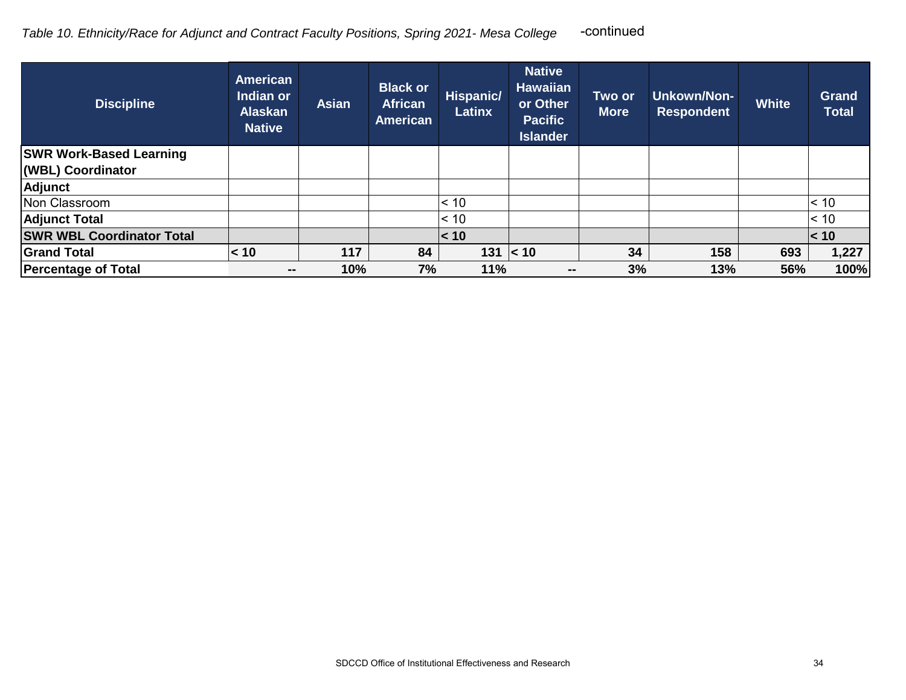| <b>Discipline</b>                | <b>American</b><br>Indian or<br><b>Alaskan</b><br><b>Native</b> | <b>Asian</b> | <b>Black or</b><br><b>African</b><br><b>American</b> | Hispanic/<br>Latinx | <b>Native</b><br><b>Hawaiian</b><br>or Other<br><b>Pacific</b><br><b>Islander</b> | Two or<br><b>More</b> | Unkown/Non-<br><b>Respondent</b> | <b>White</b> | <b>Grand</b><br><b>Total</b> |
|----------------------------------|-----------------------------------------------------------------|--------------|------------------------------------------------------|---------------------|-----------------------------------------------------------------------------------|-----------------------|----------------------------------|--------------|------------------------------|
| <b>SWR Work-Based Learning</b>   |                                                                 |              |                                                      |                     |                                                                                   |                       |                                  |              |                              |
| (WBL) Coordinator                |                                                                 |              |                                                      |                     |                                                                                   |                       |                                  |              |                              |
| <b>Adjunct</b>                   |                                                                 |              |                                                      |                     |                                                                                   |                       |                                  |              |                              |
| Non Classroom                    |                                                                 |              |                                                      | < 10                |                                                                                   |                       |                                  |              | $\leq 10$                    |
| <b>Adjunct Total</b>             |                                                                 |              |                                                      | $\leq 10$           |                                                                                   |                       |                                  |              | $\leq 10$                    |
| <b>SWR WBL Coordinator Total</b> |                                                                 |              |                                                      | < 10                |                                                                                   |                       |                                  |              | $\leq 10$                    |
| <b>Grand Total</b>               | < 10                                                            | 117          | 84                                                   |                     | $131 \le 10$                                                                      | 34                    | 158                              | 693          | 1,227                        |
| <b>Percentage of Total</b>       | --                                                              | 10%          | 7%                                                   | 11%                 | $\overline{\phantom{m}}$                                                          | 3%                    | 13%                              | 56%          | 100%                         |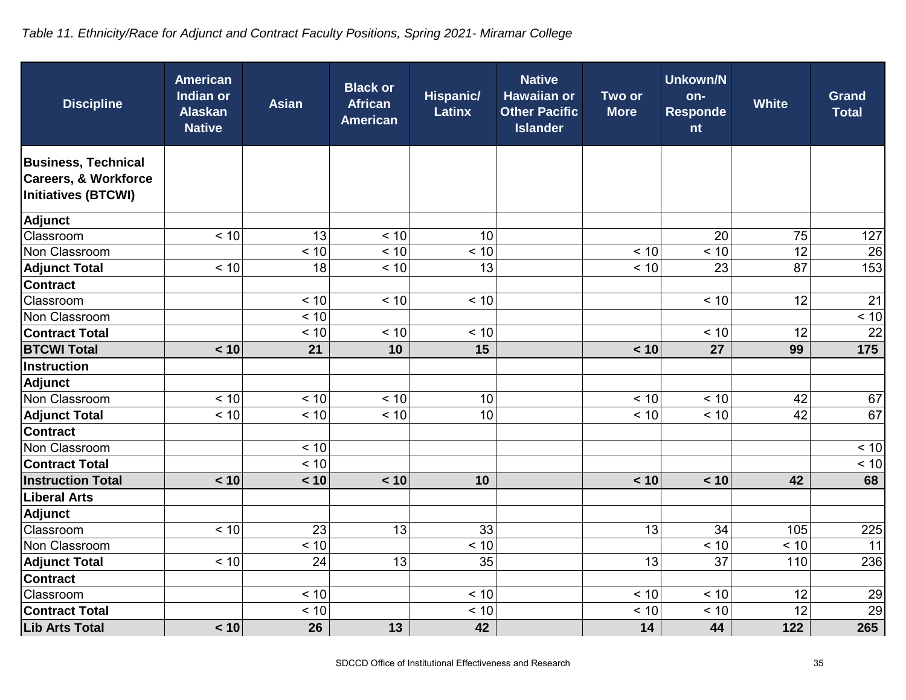# *Table 11. Ethnicity/Race for Adjunct and Contract Faculty Positions, Spring 2021- Miramar College*

| <b>Discipline</b>                                                                           | <b>American</b><br>Indian or<br><b>Alaskan</b><br><b>Native</b> | <b>Asian</b> | <b>Black or</b><br><b>African</b><br><b>American</b> | <b>Hispanic/</b><br><b>Latinx</b> | <b>Native</b><br><b>Hawaiian or</b><br><b>Other Pacific</b><br><b>Islander</b> | Two or<br><b>More</b> | <b>Unkown/N</b><br>on-<br><b>Responde</b><br>nt | <b>White</b> | <b>Grand</b><br><b>Total</b> |
|---------------------------------------------------------------------------------------------|-----------------------------------------------------------------|--------------|------------------------------------------------------|-----------------------------------|--------------------------------------------------------------------------------|-----------------------|-------------------------------------------------|--------------|------------------------------|
| <b>Business, Technical</b><br><b>Careers, &amp; Workforce</b><br><b>Initiatives (BTCWI)</b> |                                                                 |              |                                                      |                                   |                                                                                |                       |                                                 |              |                              |
| Adjunct                                                                                     |                                                                 |              |                                                      |                                   |                                                                                |                       |                                                 |              |                              |
| Classroom                                                                                   | < 10                                                            | 13           | < 10                                                 | 10                                |                                                                                |                       | 20                                              | 75           | 127                          |
| Non Classroom                                                                               |                                                                 | < 10         | < 10                                                 | < 10                              |                                                                                | < 10                  | < 10                                            | 12           | 26                           |
| <b>Adjunct Total</b>                                                                        | < 10                                                            | 18           | < 10                                                 | 13                                |                                                                                | < 10                  | 23                                              | 87           | 153                          |
| <b>Contract</b>                                                                             |                                                                 |              |                                                      |                                   |                                                                                |                       |                                                 |              |                              |
| Classroom                                                                                   |                                                                 | < 10         | < 10                                                 | < 10                              |                                                                                |                       | < 10                                            | 12           | 21                           |
| Non Classroom                                                                               |                                                                 | < 10         |                                                      |                                   |                                                                                |                       |                                                 |              | < 10                         |
| <b>Contract Total</b>                                                                       |                                                                 | < 10         | < 10                                                 | < 10                              |                                                                                |                       | < 10                                            | 12           | 22                           |
| <b>BTCWI Total</b>                                                                          | < 10                                                            | 21           | 10                                                   | 15                                |                                                                                | < 10                  | 27                                              | 99           | 175                          |
| <b>Instruction</b>                                                                          |                                                                 |              |                                                      |                                   |                                                                                |                       |                                                 |              |                              |
| <b>Adjunct</b>                                                                              |                                                                 |              |                                                      |                                   |                                                                                |                       |                                                 |              |                              |
| Non Classroom                                                                               | < 10                                                            | < 10         | < 10                                                 | 10                                |                                                                                | < 10                  | < 10                                            | 42           | 67                           |
| <b>Adjunct Total</b>                                                                        | < 10                                                            | < 10         | < 10                                                 | 10                                |                                                                                | < 10                  | < 10                                            | 42           | 67                           |
| <b>Contract</b>                                                                             |                                                                 |              |                                                      |                                   |                                                                                |                       |                                                 |              |                              |
| Non Classroom                                                                               |                                                                 | < 10         |                                                      |                                   |                                                                                |                       |                                                 |              | < 10                         |
| <b>Contract Total</b>                                                                       |                                                                 | < 10         |                                                      |                                   |                                                                                |                       |                                                 |              | < 10                         |
| <b>Instruction Total</b>                                                                    | < 10                                                            | < 10         | < 10                                                 | 10                                |                                                                                | < 10                  | < 10                                            | 42           | 68                           |
| <b>Liberal Arts</b>                                                                         |                                                                 |              |                                                      |                                   |                                                                                |                       |                                                 |              |                              |
| <b>Adjunct</b>                                                                              |                                                                 |              |                                                      |                                   |                                                                                |                       |                                                 |              |                              |
| Classroom                                                                                   | < 10                                                            | 23           | 13                                                   | 33                                |                                                                                | 13                    | 34                                              | 105          | 225                          |
| Non Classroom                                                                               |                                                                 | < 10         |                                                      | < 10                              |                                                                                |                       | < 10                                            | < 10         | 11                           |
| <b>Adjunct Total</b>                                                                        | < 10                                                            | 24           | 13                                                   | 35                                |                                                                                | 13                    | 37                                              | 110          | 236                          |
| <b>Contract</b>                                                                             |                                                                 |              |                                                      |                                   |                                                                                |                       |                                                 |              |                              |
| Classroom                                                                                   |                                                                 | < 10         |                                                      | < 10                              |                                                                                | < 10                  | < 10                                            | 12           | 29                           |
| <b>Contract Total</b>                                                                       |                                                                 | < 10         |                                                      | < 10                              |                                                                                | < 10                  | < 10                                            | 12           | 29                           |
| <b>Lib Arts Total</b>                                                                       | < 10                                                            | 26           | 13                                                   | 42                                |                                                                                | 14                    | 44                                              | 122          | 265                          |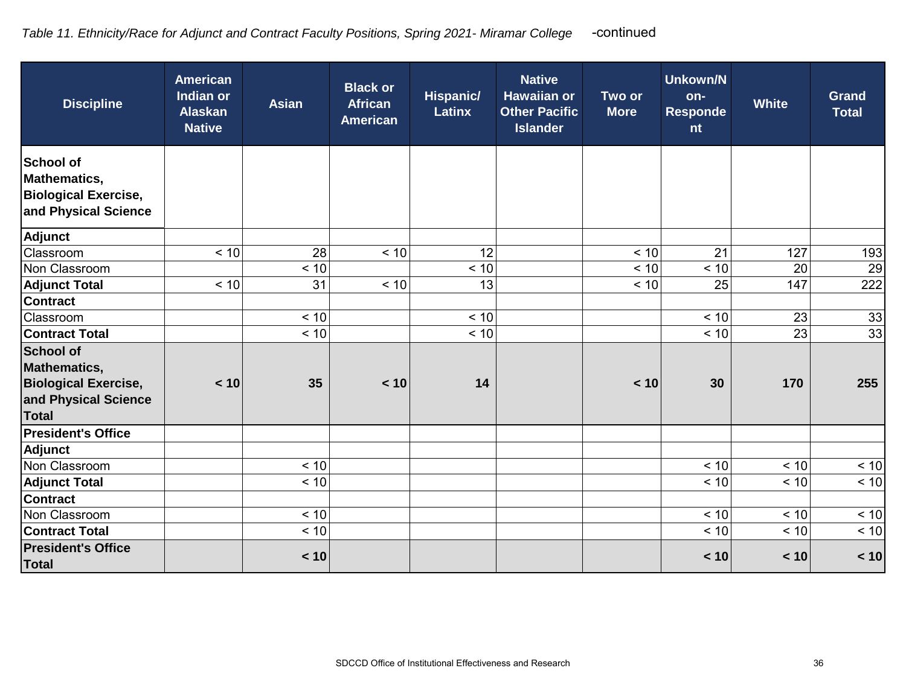| <b>Discipline</b>                                                                                              | <b>American</b><br>Indian or<br><b>Alaskan</b><br><b>Native</b> | <b>Asian</b> | <b>Black or</b><br><b>African</b><br><b>American</b> | <b>Hispanic/</b><br><b>Latinx</b> | <b>Native</b><br><b>Hawaiian or</b><br><b>Other Pacific</b><br><b>Islander</b> | Two or<br><b>More</b> | Unkown/N<br>on-<br><b>Responde</b><br>nt | <b>White</b> | <b>Grand</b><br><b>Total</b> |
|----------------------------------------------------------------------------------------------------------------|-----------------------------------------------------------------|--------------|------------------------------------------------------|-----------------------------------|--------------------------------------------------------------------------------|-----------------------|------------------------------------------|--------------|------------------------------|
| <b>School of</b><br><b>Mathematics,</b><br><b>Biological Exercise,</b><br>and Physical Science                 |                                                                 |              |                                                      |                                   |                                                                                |                       |                                          |              |                              |
| <b>Adjunct</b>                                                                                                 |                                                                 |              |                                                      |                                   |                                                                                |                       |                                          |              |                              |
| Classroom                                                                                                      | < 10                                                            | 28           | < 10                                                 | 12                                |                                                                                | < 10                  | 21                                       | 127          | 193                          |
| Non Classroom                                                                                                  |                                                                 | < 10         |                                                      | < 10                              |                                                                                | < 10                  | < 10                                     | 20           | 29                           |
| <b>Adjunct Total</b>                                                                                           | < 10                                                            | 31           | < 10                                                 | 13                                |                                                                                | < 10                  | 25                                       | 147          | 222                          |
| <b>Contract</b>                                                                                                |                                                                 |              |                                                      |                                   |                                                                                |                       |                                          |              |                              |
| Classroom                                                                                                      |                                                                 | < 10         |                                                      | < 10                              |                                                                                |                       | < 10                                     | 23           | 33                           |
| <b>Contract Total</b>                                                                                          |                                                                 | < 10         |                                                      | < 10                              |                                                                                |                       | < 10                                     | 23           | 33                           |
| <b>School of</b><br><b>Mathematics,</b><br><b>Biological Exercise,</b><br>and Physical Science<br><b>Total</b> | < 10                                                            | 35           | < 10                                                 | 14                                |                                                                                | < 10                  | 30                                       | 170          | 255                          |
| <b>President's Office</b>                                                                                      |                                                                 |              |                                                      |                                   |                                                                                |                       |                                          |              |                              |
| <b>Adjunct</b>                                                                                                 |                                                                 |              |                                                      |                                   |                                                                                |                       |                                          |              |                              |
| Non Classroom                                                                                                  |                                                                 | < 10         |                                                      |                                   |                                                                                |                       | < 10                                     | < 10         | < 10                         |
| <b>Adjunct Total</b>                                                                                           |                                                                 | < 10         |                                                      |                                   |                                                                                |                       | < 10                                     | < 10         | < 10                         |
| <b>Contract</b>                                                                                                |                                                                 |              |                                                      |                                   |                                                                                |                       |                                          |              |                              |
| Non Classroom                                                                                                  |                                                                 | < 10         |                                                      |                                   |                                                                                |                       | < 10                                     | < 10         | < 10                         |
| <b>Contract Total</b>                                                                                          |                                                                 | < 10         |                                                      |                                   |                                                                                |                       | < 10                                     | < 10         | < 10                         |
| <b>President's Office</b><br><b>Total</b>                                                                      |                                                                 | < 10         |                                                      |                                   |                                                                                |                       | < 10                                     | < 10         | < 10                         |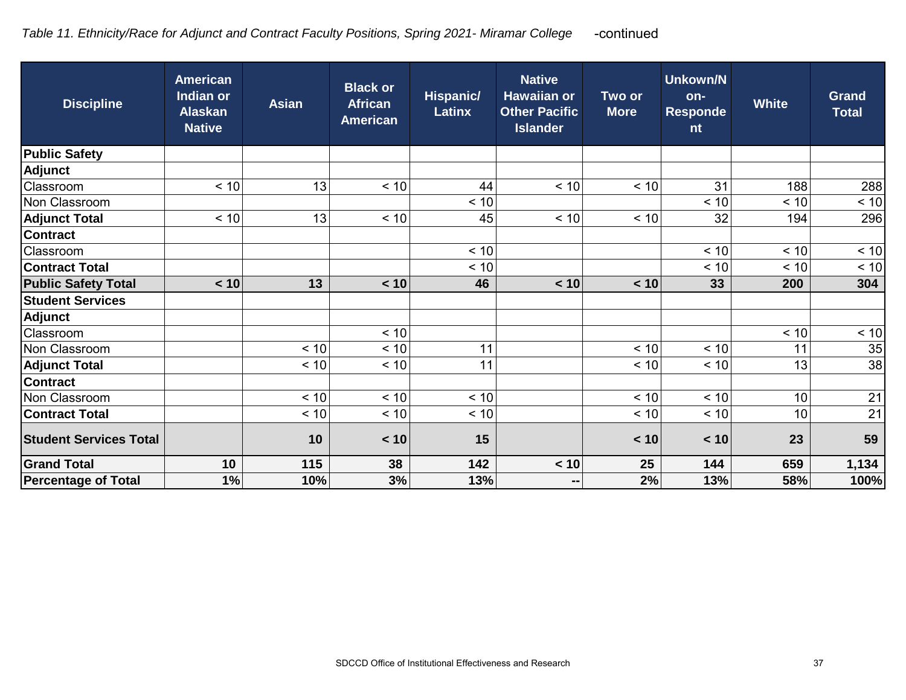| <b>Discipline</b>             | <b>American</b><br>Indian or<br><b>Alaskan</b><br><b>Native</b> | <b>Asian</b> | <b>Black or</b><br><b>African</b><br><b>American</b> | <b>Hispanic/</b><br><b>Latinx</b> | <b>Native</b><br><b>Hawaiian or</b><br><b>Other Pacific</b><br><b>Islander</b> | Two or<br><b>More</b> | <b>Unkown/N</b><br>on-<br><b>Responde</b><br>nt | <b>White</b> | <b>Grand</b><br><b>Total</b> |
|-------------------------------|-----------------------------------------------------------------|--------------|------------------------------------------------------|-----------------------------------|--------------------------------------------------------------------------------|-----------------------|-------------------------------------------------|--------------|------------------------------|
| <b>Public Safety</b>          |                                                                 |              |                                                      |                                   |                                                                                |                       |                                                 |              |                              |
| <b>Adjunct</b>                |                                                                 |              |                                                      |                                   |                                                                                |                       |                                                 |              |                              |
| Classroom                     | < 10                                                            | 13           | < 10                                                 | 44                                | < 10                                                                           | < 10                  | 31                                              | 188          | 288                          |
| Non Classroom                 |                                                                 |              |                                                      | < 10                              |                                                                                |                       | < 10                                            | < 10         | < 10                         |
| <b>Adjunct Total</b>          | < 10                                                            | 13           | < 10                                                 | 45                                | < 10                                                                           | < 10                  | 32                                              | 194          | 296                          |
| <b>Contract</b>               |                                                                 |              |                                                      |                                   |                                                                                |                       |                                                 |              |                              |
| Classroom                     |                                                                 |              |                                                      | < 10                              |                                                                                |                       | < 10                                            | < 10         | < 10                         |
| <b>Contract Total</b>         |                                                                 |              |                                                      | < 10                              |                                                                                |                       | $< 10$                                          | < 10         | < 10                         |
| <b>Public Safety Total</b>    | < 10                                                            | 13           | < 10                                                 | 46                                | < 10                                                                           | < 10                  | 33                                              | 200          | 304                          |
| <b>Student Services</b>       |                                                                 |              |                                                      |                                   |                                                                                |                       |                                                 |              |                              |
| <b>Adjunct</b>                |                                                                 |              |                                                      |                                   |                                                                                |                       |                                                 |              |                              |
| Classroom                     |                                                                 |              | < 10                                                 |                                   |                                                                                |                       |                                                 | < 10         | < 10                         |
| Non Classroom                 |                                                                 | < 10         | < 10                                                 | 11                                |                                                                                | < 10                  | < 10                                            | 11           | 35                           |
| <b>Adjunct Total</b>          |                                                                 | < 10         | < 10                                                 | 11                                |                                                                                | < 10                  | < 10                                            | 13           | 38                           |
| <b>Contract</b>               |                                                                 |              |                                                      |                                   |                                                                                |                       |                                                 |              |                              |
| Non Classroom                 |                                                                 | < 10         | < 10                                                 | < 10                              |                                                                                | < 10                  | < 10                                            | 10           | 21                           |
| <b>Contract Total</b>         |                                                                 | < 10         | < 10                                                 | < 10                              |                                                                                | < 10                  | < 10                                            | 10           | 21                           |
| <b>Student Services Total</b> |                                                                 | 10           | < 10                                                 | 15                                |                                                                                | < 10                  | < 10                                            | 23           | 59                           |
| <b>Grand Total</b>            | 10                                                              | 115          | 38                                                   | 142                               | < 10                                                                           | 25                    | 144                                             | 659          | 1,134                        |
| <b>Percentage of Total</b>    | 1%                                                              | 10%          | 3%                                                   | 13%                               | --                                                                             | 2%                    | 13%                                             | 58%          | 100%                         |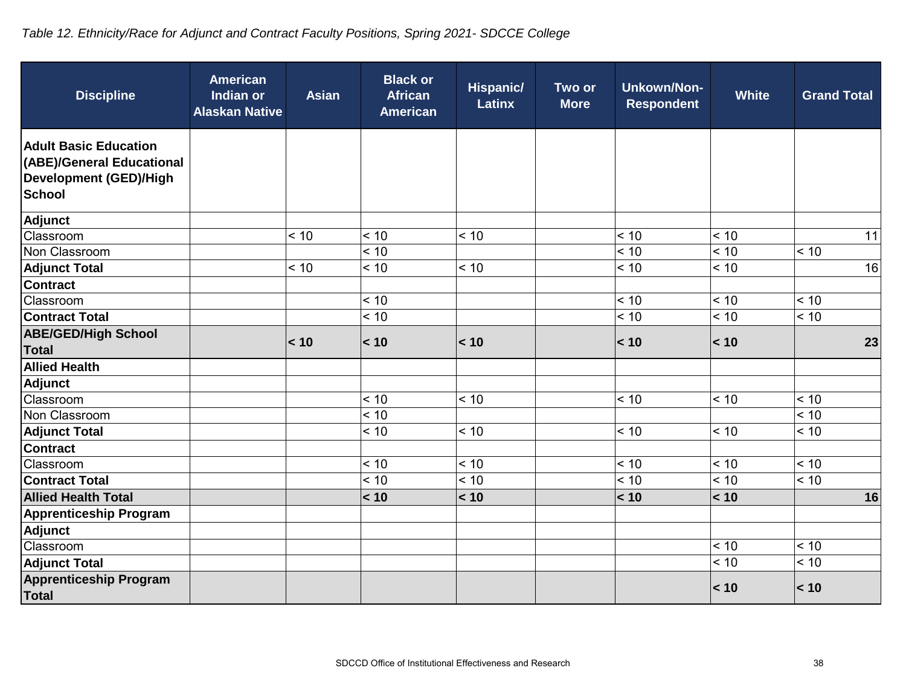# *Table 12. Ethnicity/Race for Adjunct and Contract Faculty Positions, Spring 2021- SDCCE College*

| <b>Discipline</b>                                                                                    | <b>American</b><br><b>Asian</b><br><b>Indian or</b><br><b>Alaskan Native</b> | <b>Black or</b><br><b>African</b><br><b>American</b> | <b>Hispanic/</b><br><b>Latinx</b> | Two or<br><b>More</b> | <b>Unkown/Non-</b><br><b>Respondent</b> | <b>White</b> | <b>Grand Total</b> |
|------------------------------------------------------------------------------------------------------|------------------------------------------------------------------------------|------------------------------------------------------|-----------------------------------|-----------------------|-----------------------------------------|--------------|--------------------|
| <b>Adult Basic Education</b><br>(ABE)/General Educational<br>Development (GED)/High<br><b>School</b> |                                                                              |                                                      |                                   |                       |                                         |              |                    |
| Adjunct                                                                                              |                                                                              |                                                      |                                   |                       |                                         |              |                    |
| Classroom                                                                                            | < 10                                                                         | < 10                                                 | < 10                              |                       | < 10                                    | < 10         | 11                 |
| Non Classroom                                                                                        |                                                                              | < 10                                                 |                                   |                       | < 10                                    | < 10         | < 10               |
| <b>Adjunct Total</b>                                                                                 | < 10                                                                         | < 10                                                 | < 10                              |                       | < 10                                    | < 10         | 16                 |
| <b>Contract</b>                                                                                      |                                                                              |                                                      |                                   |                       |                                         |              |                    |
| Classroom                                                                                            |                                                                              | < 10                                                 |                                   |                       | < 10                                    | < 10         | < 10               |
| <b>Contract Total</b>                                                                                |                                                                              | < 10                                                 |                                   |                       | $< 10$                                  | < 10         | < 10               |
| <b>ABE/GED/High School</b><br><b>Total</b>                                                           | < 10                                                                         | < 10                                                 | < 10                              |                       | < 10                                    | < 10         | 23                 |
| <b>Allied Health</b>                                                                                 |                                                                              |                                                      |                                   |                       |                                         |              |                    |
| <b>Adjunct</b>                                                                                       |                                                                              |                                                      |                                   |                       |                                         |              |                    |
| Classroom                                                                                            |                                                                              | < 10                                                 | < 10                              |                       | < 10                                    | < 10         | < 10               |
| Non Classroom                                                                                        |                                                                              | < 10                                                 |                                   |                       |                                         |              | < 10               |
| <b>Adjunct Total</b>                                                                                 |                                                                              | < 10                                                 | < 10                              |                       | < 10                                    | < 10         | < 10               |
| <b>Contract</b>                                                                                      |                                                                              |                                                      |                                   |                       |                                         |              |                    |
| Classroom                                                                                            |                                                                              | < 10                                                 | < 10                              |                       | < 10                                    | < 10         | < 10               |
| <b>Contract Total</b>                                                                                |                                                                              | < 10                                                 | < 10                              |                       | < 10                                    | < 10         | < 10               |
| <b>Allied Health Total</b>                                                                           |                                                                              | < 10                                                 | < 10                              |                       | < 10                                    | < 10         | 16                 |
| <b>Apprenticeship Program</b>                                                                        |                                                                              |                                                      |                                   |                       |                                         |              |                    |
| <b>Adjunct</b>                                                                                       |                                                                              |                                                      |                                   |                       |                                         |              |                    |
| Classroom                                                                                            |                                                                              |                                                      |                                   |                       |                                         | < 10         | < 10               |
| <b>Adjunct Total</b>                                                                                 |                                                                              |                                                      |                                   |                       |                                         | < 10         | < 10               |
| <b>Apprenticeship Program</b><br><b>Total</b>                                                        |                                                                              |                                                      |                                   |                       |                                         | < 10         | < 10               |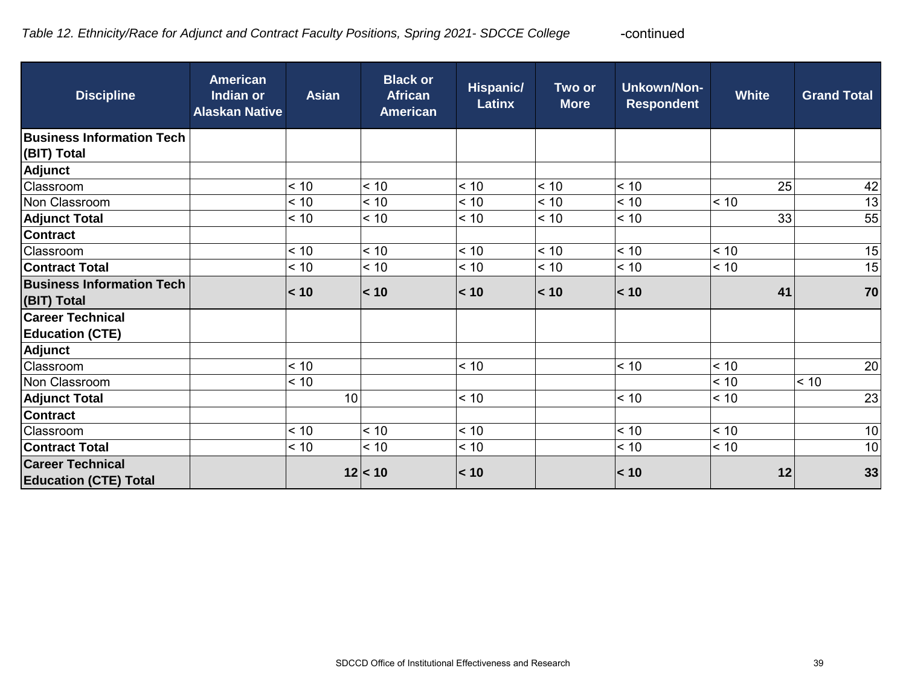| <b>Discipline</b>                                       | <b>American</b><br>Indian or<br><b>Alaskan Native</b> | <b>Asian</b> | <b>Black or</b><br><b>African</b><br><b>American</b> | Hispanic/<br>Latinx | Two or<br><b>More</b> | <b>Unkown/Non-</b><br><b>Respondent</b> | <b>White</b> | <b>Grand Total</b> |
|---------------------------------------------------------|-------------------------------------------------------|--------------|------------------------------------------------------|---------------------|-----------------------|-----------------------------------------|--------------|--------------------|
| <b>Business Information Tech</b><br>(BIT) Total         |                                                       |              |                                                      |                     |                       |                                         |              |                    |
| Adjunct                                                 |                                                       |              |                                                      |                     |                       |                                         |              |                    |
| Classroom                                               |                                                       | < 10         | < 10                                                 | < 10                | < 10                  | < 10                                    | 25           | 42                 |
| Non Classroom                                           |                                                       | < 10         | < 10                                                 | < 10                | < 10                  | < 10                                    | < 10         | 13                 |
| <b>Adjunct Total</b>                                    |                                                       | < 10         | < 10                                                 | < 10                | < 10                  | < 10                                    | 33           | 55                 |
| <b>Contract</b>                                         |                                                       |              |                                                      |                     |                       |                                         |              |                    |
| Classroom                                               |                                                       | < 10         | < 10                                                 | < 10                | < 10                  | < 10                                    | < 10         | 15                 |
| <b>Contract Total</b>                                   |                                                       | < 10         | < 10                                                 | < 10                | < 10                  | < 10                                    | < 10         | 15                 |
| <b>Business Information Tech</b><br>(BIT) Total         |                                                       | < 10         | $\vert$ < 10                                         | < 10                | $\vert$ < 10          | < 10                                    | 41           | 70                 |
| <b>Career Technical</b><br><b>Education (CTE)</b>       |                                                       |              |                                                      |                     |                       |                                         |              |                    |
| Adjunct                                                 |                                                       |              |                                                      |                     |                       |                                         |              |                    |
| Classroom                                               |                                                       | < 10         |                                                      | < 10                |                       | < 10                                    | < 10         | 20                 |
| Non Classroom                                           |                                                       | < 10         |                                                      |                     |                       |                                         | < 10         | < 10               |
| <b>Adjunct Total</b>                                    |                                                       | 10           |                                                      | < 10                |                       | < 10                                    | < 10         | 23                 |
| <b>Contract</b>                                         |                                                       |              |                                                      |                     |                       |                                         |              |                    |
| Classroom                                               |                                                       | < 10         | < 10                                                 | < 10                |                       | < 10                                    | < 10         | 10                 |
| <b>Contract Total</b>                                   |                                                       | < 10         | < 10                                                 | < 10                |                       | < 10                                    | < 10         | 10                 |
| <b>Career Technical</b><br><b>Education (CTE) Total</b> |                                                       |              | 12 < 10                                              | < 10                |                       | < 10                                    | 12           | 33                 |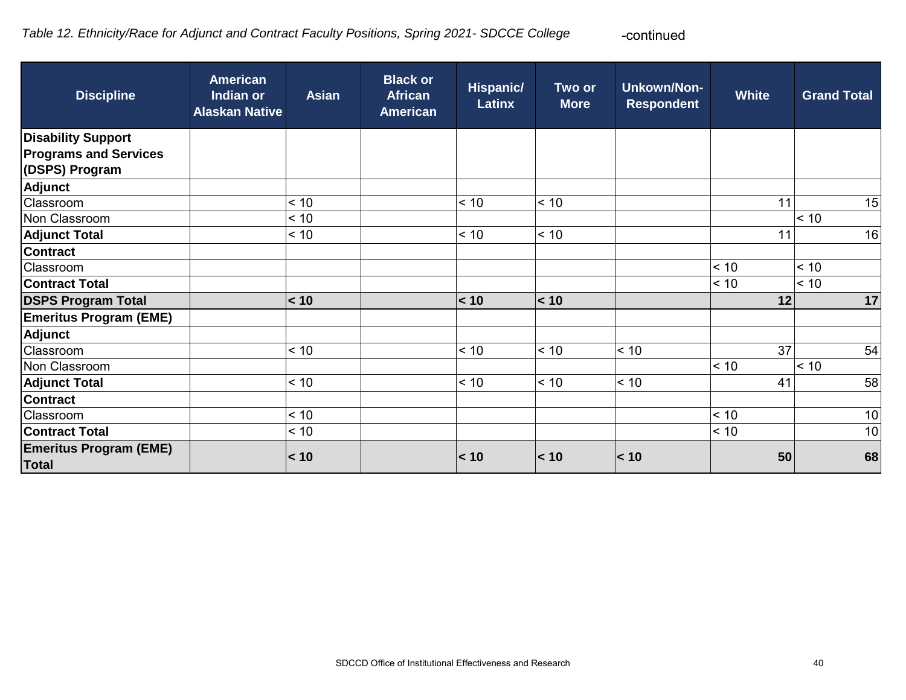#### *Table 12. Ethnicity/Race for Adjunct and Contract Faculty Positions, Spring 2021- SDCCE College*  -continued

| <b>Discipline</b>                              | <b>American</b><br>Indian or<br><b>Alaskan Native</b> | <b>Asian</b> | <b>Black or</b><br><b>African</b><br><b>American</b> | <b>Hispanic/</b><br><b>Latinx</b> | Two or<br><b>More</b> | <b>Unkown/Non-</b><br><b>Respondent</b> | <b>White</b> | <b>Grand Total</b> |
|------------------------------------------------|-------------------------------------------------------|--------------|------------------------------------------------------|-----------------------------------|-----------------------|-----------------------------------------|--------------|--------------------|
| <b>Disability Support</b>                      |                                                       |              |                                                      |                                   |                       |                                         |              |                    |
| <b>Programs and Services</b><br>(DSPS) Program |                                                       |              |                                                      |                                   |                       |                                         |              |                    |
| <b>Adjunct</b>                                 |                                                       |              |                                                      |                                   |                       |                                         |              |                    |
| Classroom                                      |                                                       | < 10         |                                                      | < 10                              | < 10                  |                                         | 11           | 15                 |
| Non Classroom                                  |                                                       | < 10         |                                                      |                                   |                       |                                         |              | < 10               |
| <b>Adjunct Total</b>                           |                                                       | < 10         |                                                      | < 10                              | < 10                  |                                         | 11           | 16                 |
| <b>Contract</b>                                |                                                       |              |                                                      |                                   |                       |                                         |              |                    |
| Classroom                                      |                                                       |              |                                                      |                                   |                       |                                         | < 10         | < 10               |
| <b>Contract Total</b>                          |                                                       |              |                                                      |                                   |                       |                                         | < 10         | < 10               |
| <b>DSPS Program Total</b>                      |                                                       | < 10         |                                                      | < 10                              | $\leq 10$             |                                         | 12           | 17                 |
| <b>Emeritus Program (EME)</b>                  |                                                       |              |                                                      |                                   |                       |                                         |              |                    |
| Adjunct                                        |                                                       |              |                                                      |                                   |                       |                                         |              |                    |
| Classroom                                      |                                                       | < 10         |                                                      | < 10                              | < 10                  | < 10                                    | 37           | 54                 |
| Non Classroom                                  |                                                       |              |                                                      |                                   |                       |                                         | < 10         | < 10               |
| <b>Adjunct Total</b>                           |                                                       | < 10         |                                                      | < 10                              | < 10                  | < 10                                    | 41           | 58                 |
| <b>Contract</b>                                |                                                       |              |                                                      |                                   |                       |                                         |              |                    |
| Classroom                                      |                                                       | < 10         |                                                      |                                   |                       |                                         | < 10         | 10                 |
| <b>Contract Total</b>                          |                                                       | < 10         |                                                      |                                   |                       |                                         | < 10         | 10 <sup>1</sup>    |
| <b>Emeritus Program (EME)</b><br><b>Total</b>  |                                                       | < 10         |                                                      | < 10                              | $\vert$ < 10          | < 10                                    | 50           | 68                 |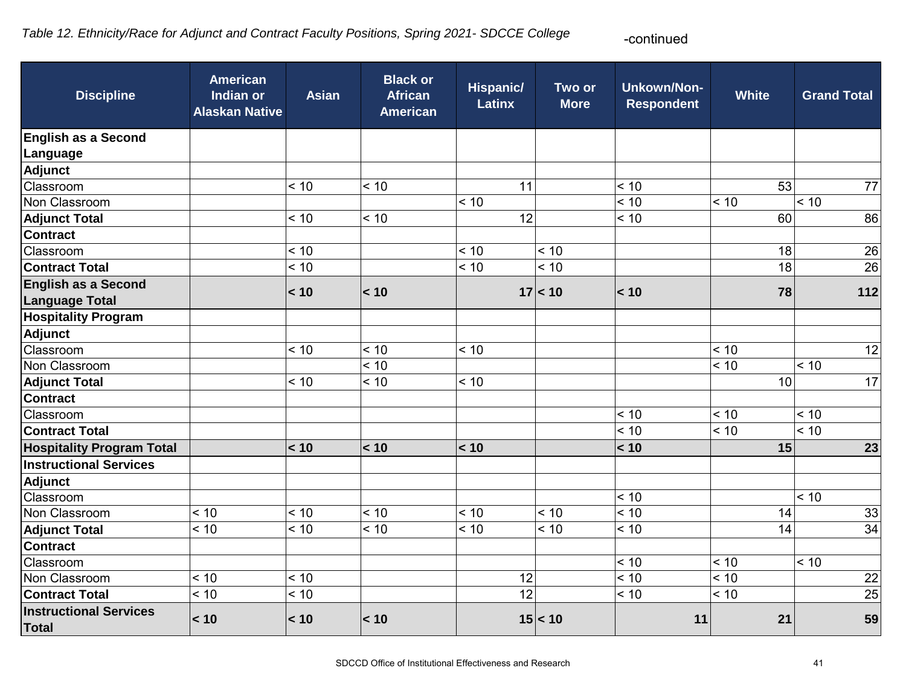# *Table 12. Ethnicity/Race for Adjunct and Contract Faculty Positions, Spring 2021- SDCCE College*

-continued

| <b>Discipline</b>                                   | <b>American</b><br><b>Indian or</b><br><b>Alaskan Native</b> | <b>Asian</b> | <b>Black or</b><br><b>African</b><br><b>American</b> | Hispanic/<br><b>Latinx</b> | Two or<br><b>More</b> | <b>Unkown/Non-</b><br><b>Respondent</b> | <b>White</b> | <b>Grand Total</b> |
|-----------------------------------------------------|--------------------------------------------------------------|--------------|------------------------------------------------------|----------------------------|-----------------------|-----------------------------------------|--------------|--------------------|
| <b>English as a Second</b>                          |                                                              |              |                                                      |                            |                       |                                         |              |                    |
| Language                                            |                                                              |              |                                                      |                            |                       |                                         |              |                    |
| Adjunct                                             |                                                              |              |                                                      |                            |                       |                                         |              |                    |
| Classroom                                           |                                                              | < 10         | < 10                                                 | 11                         |                       | < 10                                    | 53           | 77                 |
| Non Classroom                                       |                                                              |              |                                                      | < 10                       |                       | < 10                                    | < 10         | < 10               |
| <b>Adjunct Total</b>                                |                                                              | < 10         | < 10                                                 | 12                         |                       | < 10                                    | 60           | 86                 |
| <b>Contract</b>                                     |                                                              |              |                                                      |                            |                       |                                         |              |                    |
| Classroom                                           |                                                              | < 10         |                                                      | < 10                       | < 10                  |                                         | 18           | 26                 |
| <b>Contract Total</b>                               |                                                              | < 10         |                                                      | < 10                       | < 10                  |                                         | 18           | 26                 |
| <b>English as a Second</b><br><b>Language Total</b> |                                                              | < 10         | < 10                                                 |                            | 17 < 10               | < 10                                    | 78           | 112                |
| <b>Hospitality Program</b>                          |                                                              |              |                                                      |                            |                       |                                         |              |                    |
| Adjunct                                             |                                                              |              |                                                      |                            |                       |                                         |              |                    |
| Classroom                                           |                                                              | < 10         | < 10                                                 | < 10                       |                       |                                         | < 10         | 12                 |
| Non Classroom                                       |                                                              |              | < 10                                                 |                            |                       |                                         | < 10         | ~10                |
| <b>Adjunct Total</b>                                |                                                              | < 10         | < 10                                                 | < 10                       |                       |                                         | 10           | 17                 |
| <b>Contract</b>                                     |                                                              |              |                                                      |                            |                       |                                         |              |                    |
| Classroom                                           |                                                              |              |                                                      |                            |                       | < 10                                    | < 10         | < 10               |
| <b>Contract Total</b>                               |                                                              |              |                                                      |                            |                       | < 10                                    | < 10         | ~10                |
| <b>Hospitality Program Total</b>                    |                                                              | < 10         | < 10                                                 | < 10                       |                       | < 10                                    | 15           | 23                 |
| <b>Instructional Services</b>                       |                                                              |              |                                                      |                            |                       |                                         |              |                    |
| Adjunct                                             |                                                              |              |                                                      |                            |                       |                                         |              |                    |
| Classroom                                           |                                                              |              |                                                      |                            |                       | < 10                                    |              | ~10                |
| Non Classroom                                       | < 10                                                         | < 10         | < 10                                                 | < 10                       | < 10                  | < 10                                    | 14           | 33                 |
| <b>Adjunct Total</b>                                | < 10                                                         | < 10         | < 10                                                 | < 10                       | < 10                  | < 10                                    | 14           | 34                 |
| <b>Contract</b>                                     |                                                              |              |                                                      |                            |                       |                                         |              |                    |
| Classroom                                           |                                                              |              |                                                      |                            |                       | < 10                                    | < 10         | < 10               |
| Non Classroom                                       | < 10                                                         | < 10         |                                                      | 12                         |                       | < 10                                    | < 10         | 22                 |
| <b>Contract Total</b>                               | < 10                                                         | < 10         |                                                      | 12                         |                       | < 10                                    | < 10         | 25                 |
| <b>Instructional Services</b><br><b>Total</b>       | < 10                                                         | < 10         | < 10                                                 |                            | 15 < 10               | 11                                      | 21           | 59                 |